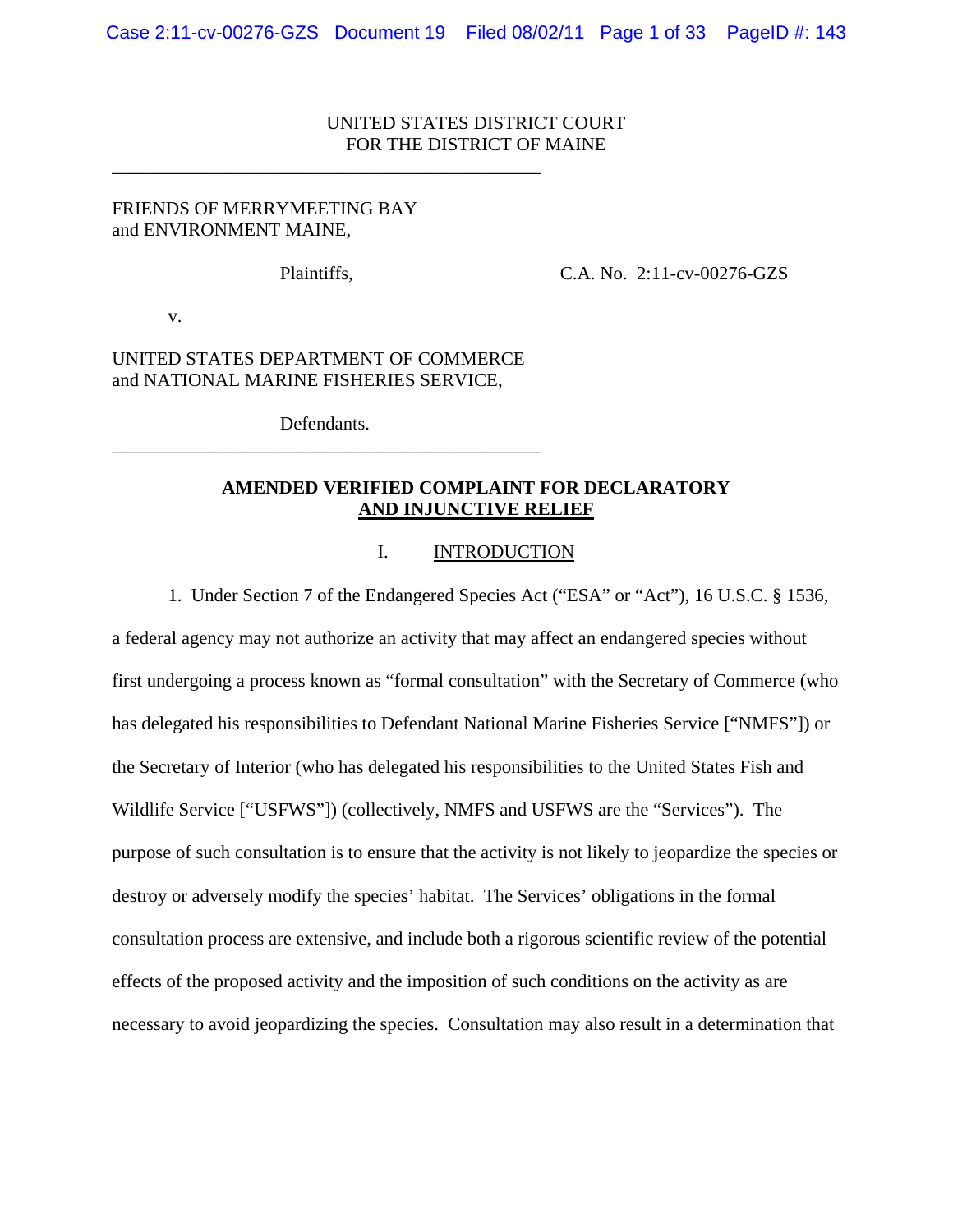### UNITED STATES DISTRICT COURT FOR THE DISTRICT OF MAINE

### FRIENDS OF MERRYMEETING BAY and ENVIRONMENT MAINE,

\_\_\_\_\_\_\_\_\_\_\_\_\_\_\_\_\_\_\_\_\_\_\_\_\_\_\_\_\_\_\_\_\_\_\_\_\_\_\_\_\_\_\_\_\_\_

Plaintiffs, C.A. No. 2:11-cv-00276-GZS

v.

## UNITED STATES DEPARTMENT OF COMMERCE and NATIONAL MARINE FISHERIES SERVICE,

Defendants. \_\_\_\_\_\_\_\_\_\_\_\_\_\_\_\_\_\_\_\_\_\_\_\_\_\_\_\_\_\_\_\_\_\_\_\_\_\_\_\_\_\_\_\_\_\_

## **AMENDED VERIFIED COMPLAINT FOR DECLARATORY AND INJUNCTIVE RELIEF**

#### I. INTRODUCTION

1. Under Section 7 of the Endangered Species Act ("ESA" or "Act"), 16 U.S.C. § 1536,

a federal agency may not authorize an activity that may affect an endangered species without first undergoing a process known as "formal consultation" with the Secretary of Commerce (who has delegated his responsibilities to Defendant National Marine Fisheries Service ["NMFS"]) or the Secretary of Interior (who has delegated his responsibilities to the United States Fish and Wildlife Service ["USFWS"]) (collectively, NMFS and USFWS are the "Services"). The purpose of such consultation is to ensure that the activity is not likely to jeopardize the species or destroy or adversely modify the species' habitat. The Services' obligations in the formal consultation process are extensive, and include both a rigorous scientific review of the potential effects of the proposed activity and the imposition of such conditions on the activity as are necessary to avoid jeopardizing the species. Consultation may also result in a determination that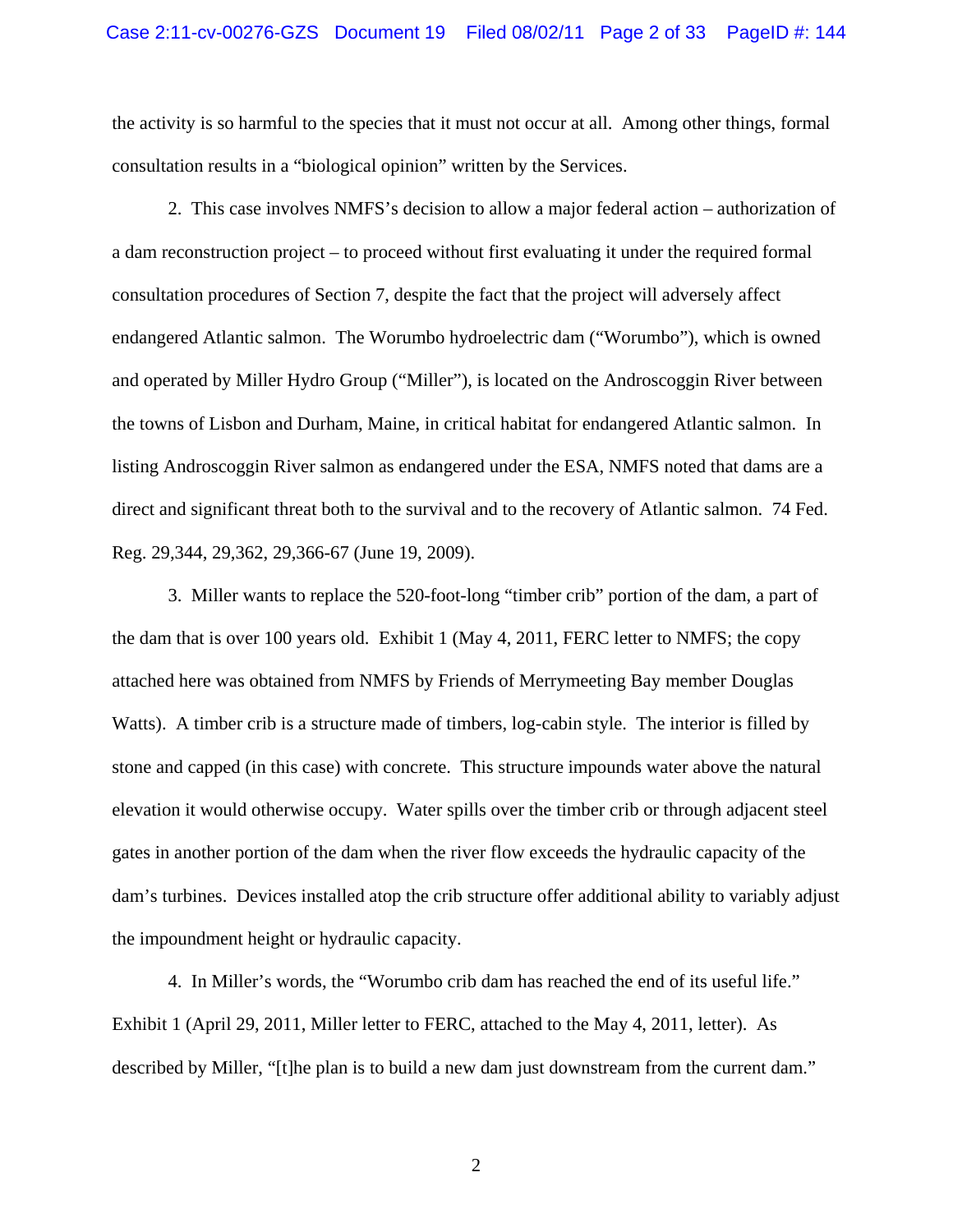the activity is so harmful to the species that it must not occur at all. Among other things, formal consultation results in a "biological opinion" written by the Services.

2. This case involves NMFS's decision to allow a major federal action – authorization of a dam reconstruction project – to proceed without first evaluating it under the required formal consultation procedures of Section 7, despite the fact that the project will adversely affect endangered Atlantic salmon. The Worumbo hydroelectric dam ("Worumbo"), which is owned and operated by Miller Hydro Group ("Miller"), is located on the Androscoggin River between the towns of Lisbon and Durham, Maine, in critical habitat for endangered Atlantic salmon. In listing Androscoggin River salmon as endangered under the ESA, NMFS noted that dams are a direct and significant threat both to the survival and to the recovery of Atlantic salmon. 74 Fed. Reg. 29,344, 29,362, 29,366-67 (June 19, 2009).

3. Miller wants to replace the 520-foot-long "timber crib" portion of the dam, a part of the dam that is over 100 years old. Exhibit 1 (May 4, 2011, FERC letter to NMFS; the copy attached here was obtained from NMFS by Friends of Merrymeeting Bay member Douglas Watts). A timber crib is a structure made of timbers, log-cabin style. The interior is filled by stone and capped (in this case) with concrete. This structure impounds water above the natural elevation it would otherwise occupy. Water spills over the timber crib or through adjacent steel gates in another portion of the dam when the river flow exceeds the hydraulic capacity of the dam's turbines. Devices installed atop the crib structure offer additional ability to variably adjust the impoundment height or hydraulic capacity.

4. In Miller's words, the "Worumbo crib dam has reached the end of its useful life." Exhibit 1 (April 29, 2011, Miller letter to FERC, attached to the May 4, 2011, letter). As described by Miller, "[t]he plan is to build a new dam just downstream from the current dam."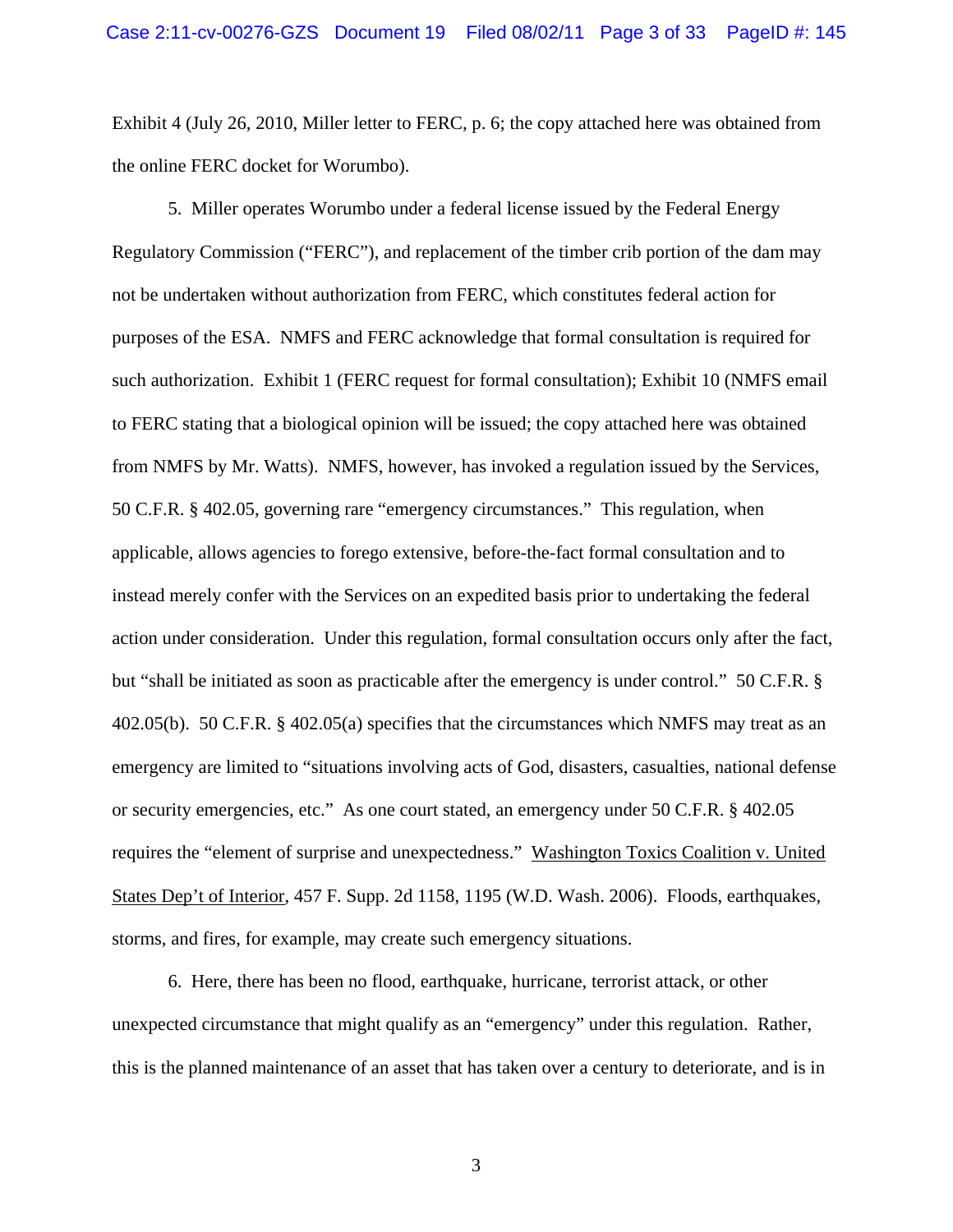Exhibit 4 (July 26, 2010, Miller letter to FERC, p. 6; the copy attached here was obtained from the online FERC docket for Worumbo).

5. Miller operates Worumbo under a federal license issued by the Federal Energy Regulatory Commission ("FERC"), and replacement of the timber crib portion of the dam may not be undertaken without authorization from FERC, which constitutes federal action for purposes of the ESA. NMFS and FERC acknowledge that formal consultation is required for such authorization. Exhibit 1 (FERC request for formal consultation); Exhibit 10 (NMFS email to FERC stating that a biological opinion will be issued; the copy attached here was obtained from NMFS by Mr. Watts). NMFS, however, has invoked a regulation issued by the Services, 50 C.F.R. § 402.05, governing rare "emergency circumstances." This regulation, when applicable, allows agencies to forego extensive, before-the-fact formal consultation and to instead merely confer with the Services on an expedited basis prior to undertaking the federal action under consideration. Under this regulation, formal consultation occurs only after the fact, but "shall be initiated as soon as practicable after the emergency is under control." 50 C.F.R. § 402.05(b). 50 C.F.R. § 402.05(a) specifies that the circumstances which NMFS may treat as an emergency are limited to "situations involving acts of God, disasters, casualties, national defense or security emergencies, etc." As one court stated, an emergency under 50 C.F.R. § 402.05 requires the "element of surprise and unexpectedness." Washington Toxics Coalition v. United States Dep't of Interior, 457 F. Supp. 2d 1158, 1195 (W.D. Wash. 2006). Floods, earthquakes, storms, and fires, for example, may create such emergency situations.

6. Here, there has been no flood, earthquake, hurricane, terrorist attack, or other unexpected circumstance that might qualify as an "emergency" under this regulation. Rather, this is the planned maintenance of an asset that has taken over a century to deteriorate, and is in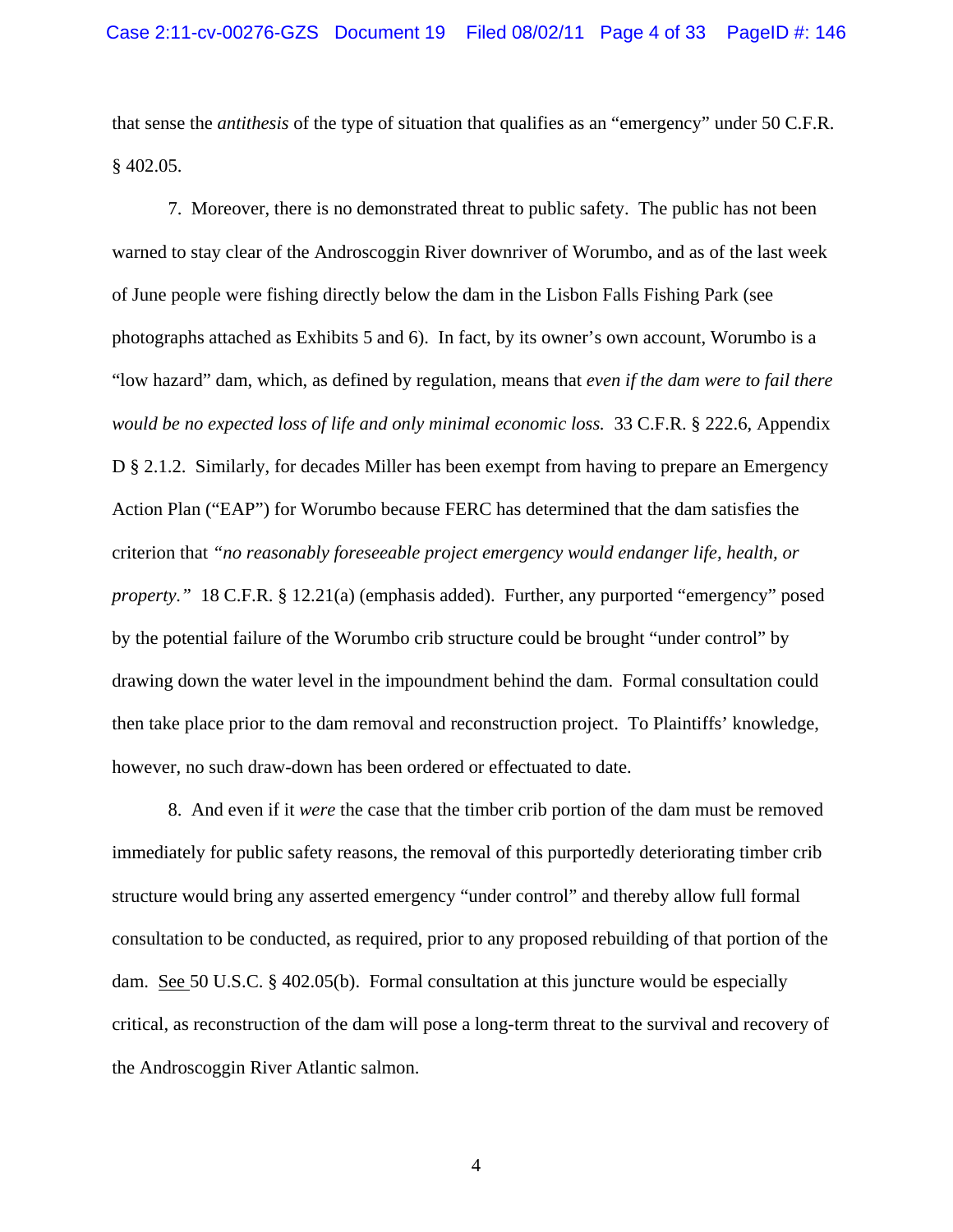that sense the *antithesis* of the type of situation that qualifies as an "emergency" under 50 C.F.R. § 402.05.

7. Moreover, there is no demonstrated threat to public safety. The public has not been warned to stay clear of the Androscoggin River downriver of Worumbo, and as of the last week of June people were fishing directly below the dam in the Lisbon Falls Fishing Park (see photographs attached as Exhibits 5 and 6). In fact, by its owner's own account, Worumbo is a "low hazard" dam, which, as defined by regulation, means that *even if the dam were to fail there would be no expected loss of life and only minimal economic loss.* 33 C.F.R. § 222.6, Appendix D § 2.1.2. Similarly, for decades Miller has been exempt from having to prepare an Emergency Action Plan ("EAP") for Worumbo because FERC has determined that the dam satisfies the criterion that *"no reasonably foreseeable project emergency would endanger life, health, or property."* 18 C.F.R. § 12.21(a) (emphasis added). Further, any purported "emergency" posed by the potential failure of the Worumbo crib structure could be brought "under control" by drawing down the water level in the impoundment behind the dam. Formal consultation could then take place prior to the dam removal and reconstruction project. To Plaintiffs' knowledge, however, no such draw-down has been ordered or effectuated to date.

8. And even if it *were* the case that the timber crib portion of the dam must be removed immediately for public safety reasons, the removal of this purportedly deteriorating timber crib structure would bring any asserted emergency "under control" and thereby allow full formal consultation to be conducted, as required, prior to any proposed rebuilding of that portion of the dam. See 50 U.S.C. § 402.05(b). Formal consultation at this juncture would be especially critical, as reconstruction of the dam will pose a long-term threat to the survival and recovery of the Androscoggin River Atlantic salmon.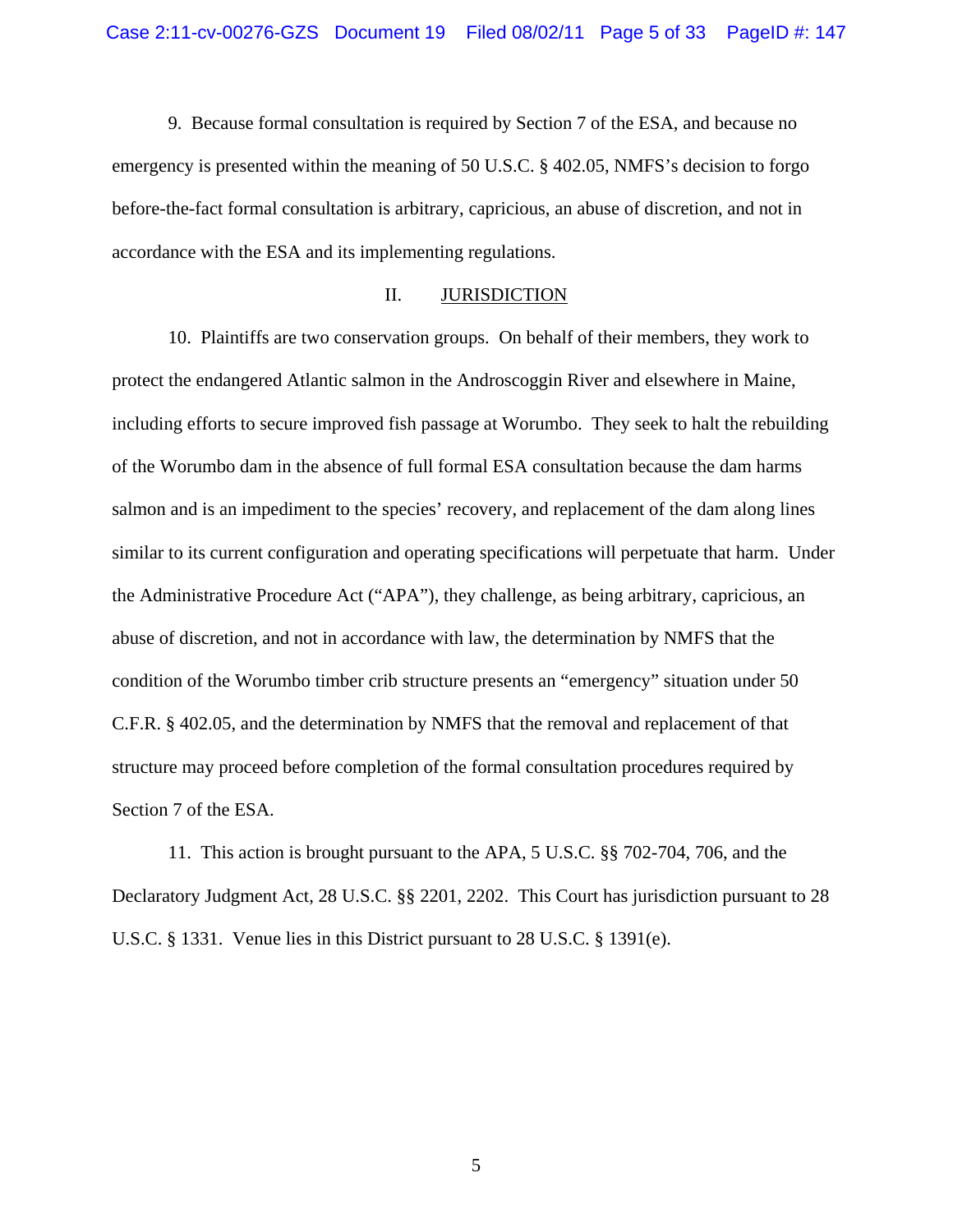9. Because formal consultation is required by Section 7 of the ESA, and because no emergency is presented within the meaning of 50 U.S.C. § 402.05, NMFS's decision to forgo before-the-fact formal consultation is arbitrary, capricious, an abuse of discretion, and not in accordance with the ESA and its implementing regulations.

#### II. JURISDICTION

10. Plaintiffs are two conservation groups. On behalf of their members, they work to protect the endangered Atlantic salmon in the Androscoggin River and elsewhere in Maine, including efforts to secure improved fish passage at Worumbo. They seek to halt the rebuilding of the Worumbo dam in the absence of full formal ESA consultation because the dam harms salmon and is an impediment to the species' recovery, and replacement of the dam along lines similar to its current configuration and operating specifications will perpetuate that harm. Under the Administrative Procedure Act ("APA"), they challenge, as being arbitrary, capricious, an abuse of discretion, and not in accordance with law, the determination by NMFS that the condition of the Worumbo timber crib structure presents an "emergency" situation under 50 C.F.R. § 402.05, and the determination by NMFS that the removal and replacement of that structure may proceed before completion of the formal consultation procedures required by Section 7 of the ESA.

11. This action is brought pursuant to the APA, 5 U.S.C. §§ 702-704, 706, and the Declaratory Judgment Act, 28 U.S.C. §§ 2201, 2202. This Court has jurisdiction pursuant to 28 U.S.C. § 1331. Venue lies in this District pursuant to 28 U.S.C. § 1391(e).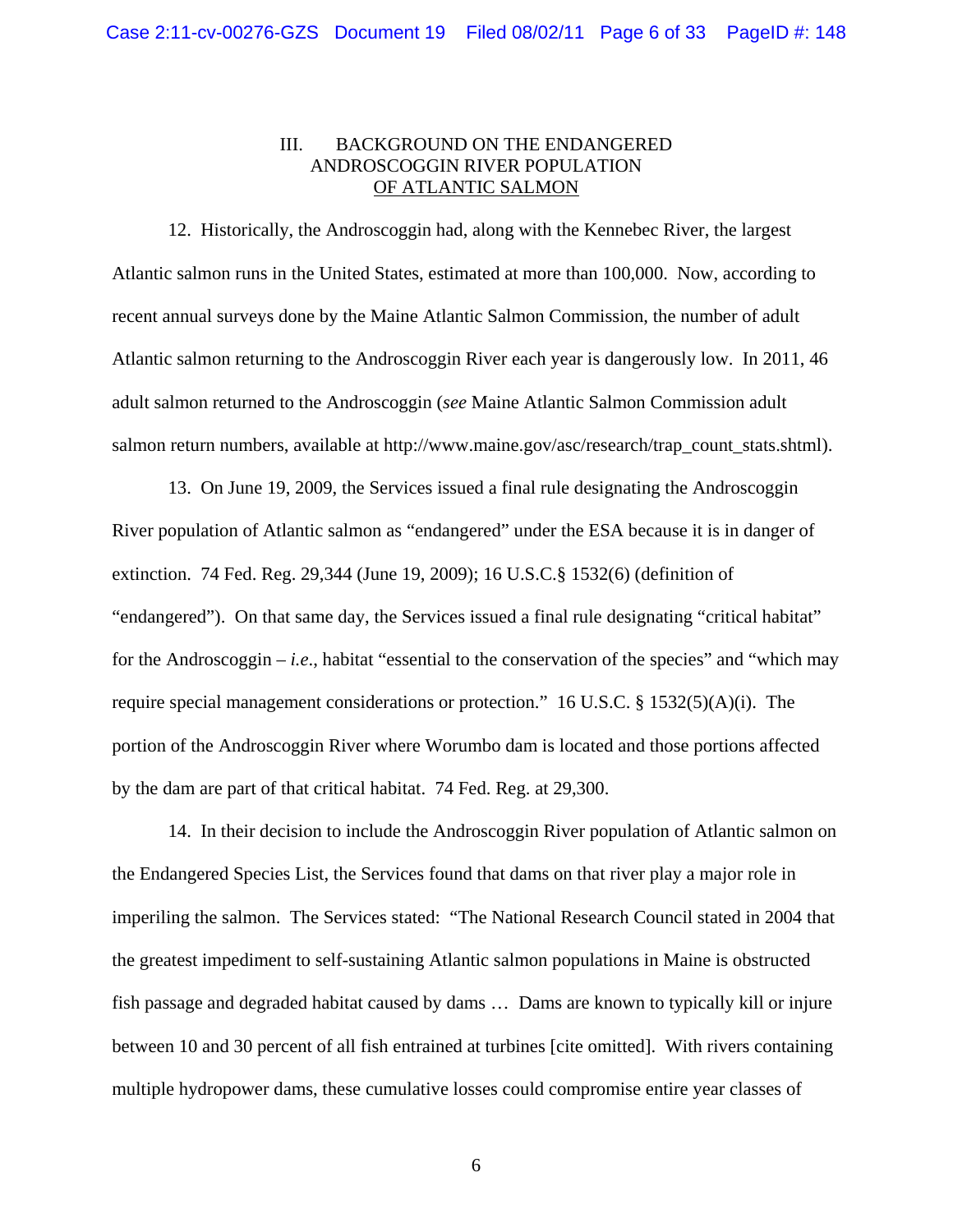## III. BACKGROUND ON THE ENDANGERED ANDROSCOGGIN RIVER POPULATION OF ATLANTIC SALMON

12. Historically, the Androscoggin had, along with the Kennebec River, the largest Atlantic salmon runs in the United States, estimated at more than 100,000. Now, according to recent annual surveys done by the Maine Atlantic Salmon Commission, the number of adult Atlantic salmon returning to the Androscoggin River each year is dangerously low. In 2011, 46 adult salmon returned to the Androscoggin (*see* Maine Atlantic Salmon Commission adult salmon return numbers, available at http://www.maine.gov/asc/research/trap\_count\_stats.shtml).

13. On June 19, 2009, the Services issued a final rule designating the Androscoggin River population of Atlantic salmon as "endangered" under the ESA because it is in danger of extinction. 74 Fed. Reg. 29,344 (June 19, 2009); 16 U.S.C.§ 1532(6) (definition of "endangered"). On that same day, the Services issued a final rule designating "critical habitat" for the Androscoggin – *i.e*., habitat "essential to the conservation of the species" and "which may require special management considerations or protection." 16 U.S.C. § 1532(5)(A)(i). The portion of the Androscoggin River where Worumbo dam is located and those portions affected by the dam are part of that critical habitat. 74 Fed. Reg. at 29,300.

14. In their decision to include the Androscoggin River population of Atlantic salmon on the Endangered Species List, the Services found that dams on that river play a major role in imperiling the salmon. The Services stated: "The National Research Council stated in 2004 that the greatest impediment to self-sustaining Atlantic salmon populations in Maine is obstructed fish passage and degraded habitat caused by dams … Dams are known to typically kill or injure between 10 and 30 percent of all fish entrained at turbines [cite omitted]. With rivers containing multiple hydropower dams, these cumulative losses could compromise entire year classes of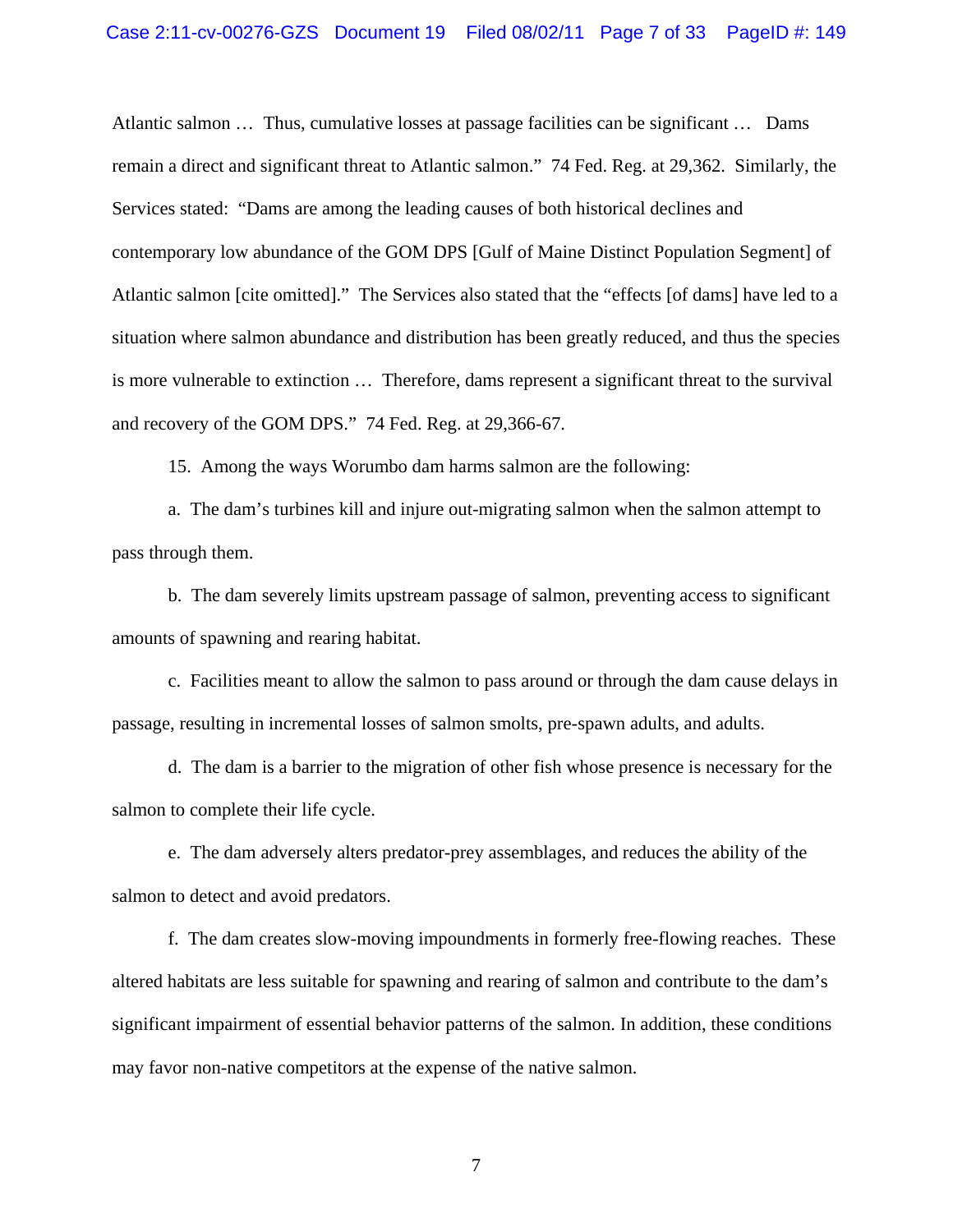Atlantic salmon … Thus, cumulative losses at passage facilities can be significant … Dams remain a direct and significant threat to Atlantic salmon." 74 Fed. Reg. at 29,362. Similarly, the Services stated: "Dams are among the leading causes of both historical declines and contemporary low abundance of the GOM DPS [Gulf of Maine Distinct Population Segment] of Atlantic salmon [cite omitted]." The Services also stated that the "effects [of dams] have led to a situation where salmon abundance and distribution has been greatly reduced, and thus the species is more vulnerable to extinction … Therefore, dams represent a significant threat to the survival and recovery of the GOM DPS." 74 Fed. Reg. at 29,366-67.

15. Among the ways Worumbo dam harms salmon are the following:

a. The dam's turbines kill and injure out-migrating salmon when the salmon attempt to pass through them.

b. The dam severely limits upstream passage of salmon, preventing access to significant amounts of spawning and rearing habitat.

c. Facilities meant to allow the salmon to pass around or through the dam cause delays in passage, resulting in incremental losses of salmon smolts, pre-spawn adults, and adults.

d. The dam is a barrier to the migration of other fish whose presence is necessary for the salmon to complete their life cycle.

e. The dam adversely alters predator-prey assemblages, and reduces the ability of the salmon to detect and avoid predators.

f. The dam creates slow-moving impoundments in formerly free-flowing reaches. These altered habitats are less suitable for spawning and rearing of salmon and contribute to the dam's significant impairment of essential behavior patterns of the salmon. In addition, these conditions may favor non-native competitors at the expense of the native salmon.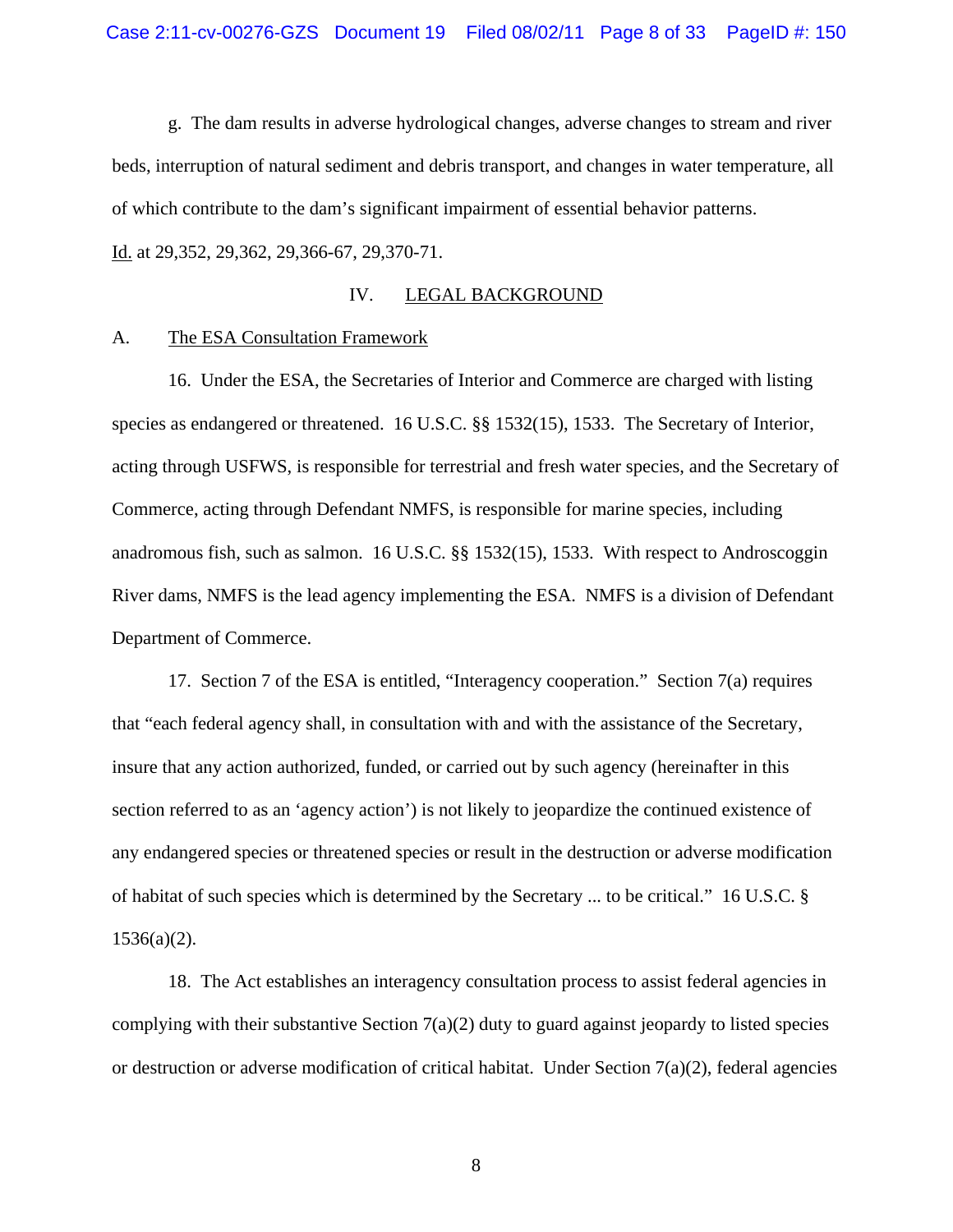g. The dam results in adverse hydrological changes, adverse changes to stream and river beds, interruption of natural sediment and debris transport, and changes in water temperature, all of which contribute to the dam's significant impairment of essential behavior patterns. Id. at 29,352, 29,362, 29,366-67, 29,370-71.

### IV. LEGAL BACKGROUND

#### A. The ESA Consultation Framework

16. Under the ESA, the Secretaries of Interior and Commerce are charged with listing species as endangered or threatened. 16 U.S.C. §§ 1532(15), 1533. The Secretary of Interior, acting through USFWS, is responsible for terrestrial and fresh water species, and the Secretary of Commerce, acting through Defendant NMFS, is responsible for marine species, including anadromous fish, such as salmon. 16 U.S.C. §§ 1532(15), 1533. With respect to Androscoggin River dams, NMFS is the lead agency implementing the ESA. NMFS is a division of Defendant Department of Commerce.

17. Section 7 of the ESA is entitled, "Interagency cooperation." Section 7(a) requires that "each federal agency shall, in consultation with and with the assistance of the Secretary, insure that any action authorized, funded, or carried out by such agency (hereinafter in this section referred to as an 'agency action') is not likely to jeopardize the continued existence of any endangered species or threatened species or result in the destruction or adverse modification of habitat of such species which is determined by the Secretary ... to be critical." 16 U.S.C. §  $1536(a)(2)$ .

18. The Act establishes an interagency consultation process to assist federal agencies in complying with their substantive Section  $7(a)(2)$  duty to guard against jeopardy to listed species or destruction or adverse modification of critical habitat. Under Section  $7(a)(2)$ , federal agencies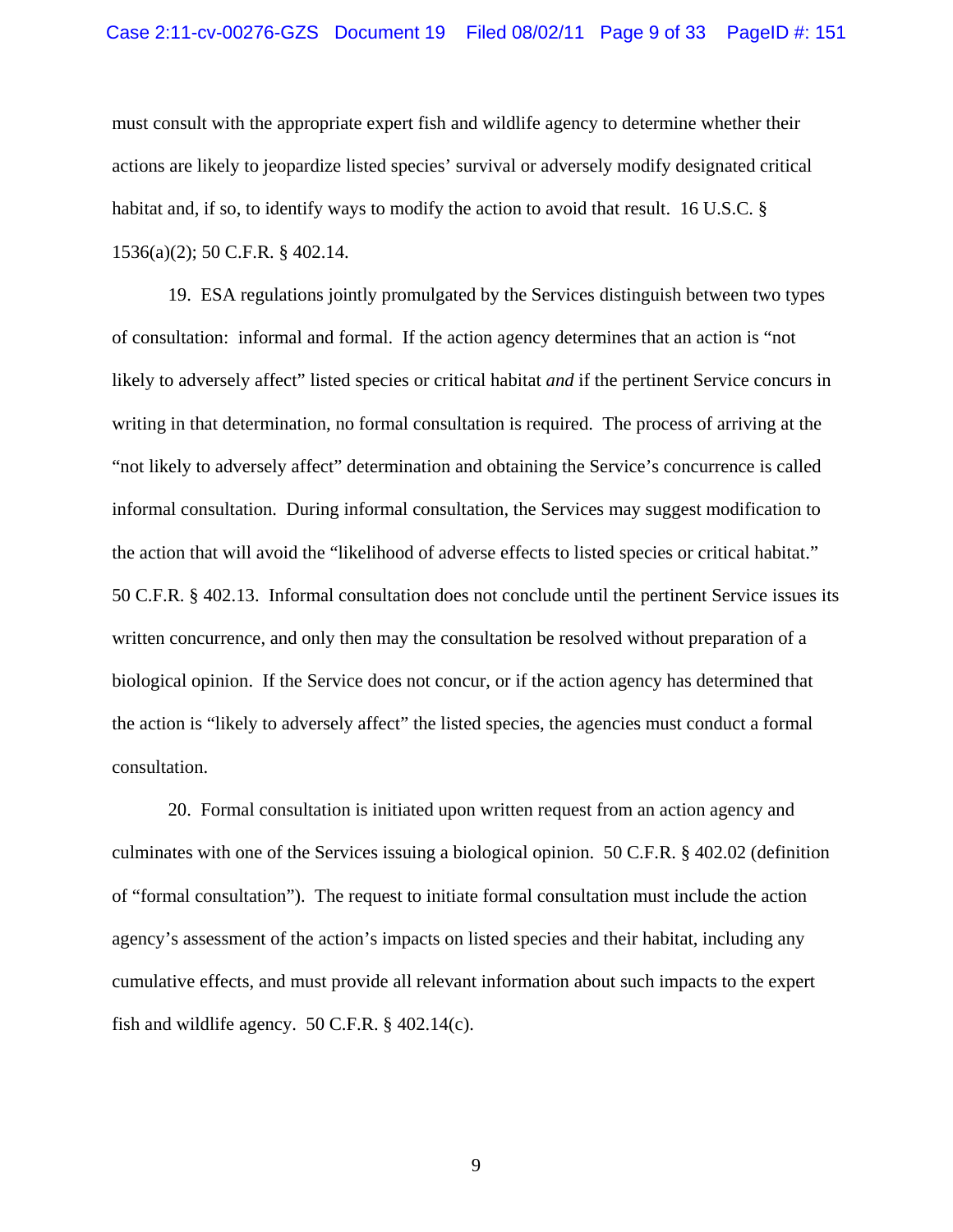#### Case 2:11-cv-00276-GZS Document 19 Filed 08/02/11 Page 9 of 33 PageID #: 151

must consult with the appropriate expert fish and wildlife agency to determine whether their actions are likely to jeopardize listed species' survival or adversely modify designated critical habitat and, if so, to identify ways to modify the action to avoid that result. 16 U.S.C. § 1536(a)(2); 50 C.F.R. § 402.14.

19. ESA regulations jointly promulgated by the Services distinguish between two types of consultation: informal and formal. If the action agency determines that an action is "not likely to adversely affect" listed species or critical habitat *and* if the pertinent Service concurs in writing in that determination, no formal consultation is required. The process of arriving at the "not likely to adversely affect" determination and obtaining the Service's concurrence is called informal consultation. During informal consultation, the Services may suggest modification to the action that will avoid the "likelihood of adverse effects to listed species or critical habitat." 50 C.F.R. § 402.13. Informal consultation does not conclude until the pertinent Service issues its written concurrence, and only then may the consultation be resolved without preparation of a biological opinion. If the Service does not concur, or if the action agency has determined that the action is "likely to adversely affect" the listed species, the agencies must conduct a formal consultation.

20. Formal consultation is initiated upon written request from an action agency and culminates with one of the Services issuing a biological opinion. 50 C.F.R. § 402.02 (definition of "formal consultation"). The request to initiate formal consultation must include the action agency's assessment of the action's impacts on listed species and their habitat, including any cumulative effects, and must provide all relevant information about such impacts to the expert fish and wildlife agency. 50 C.F.R.  $\S$  402.14(c).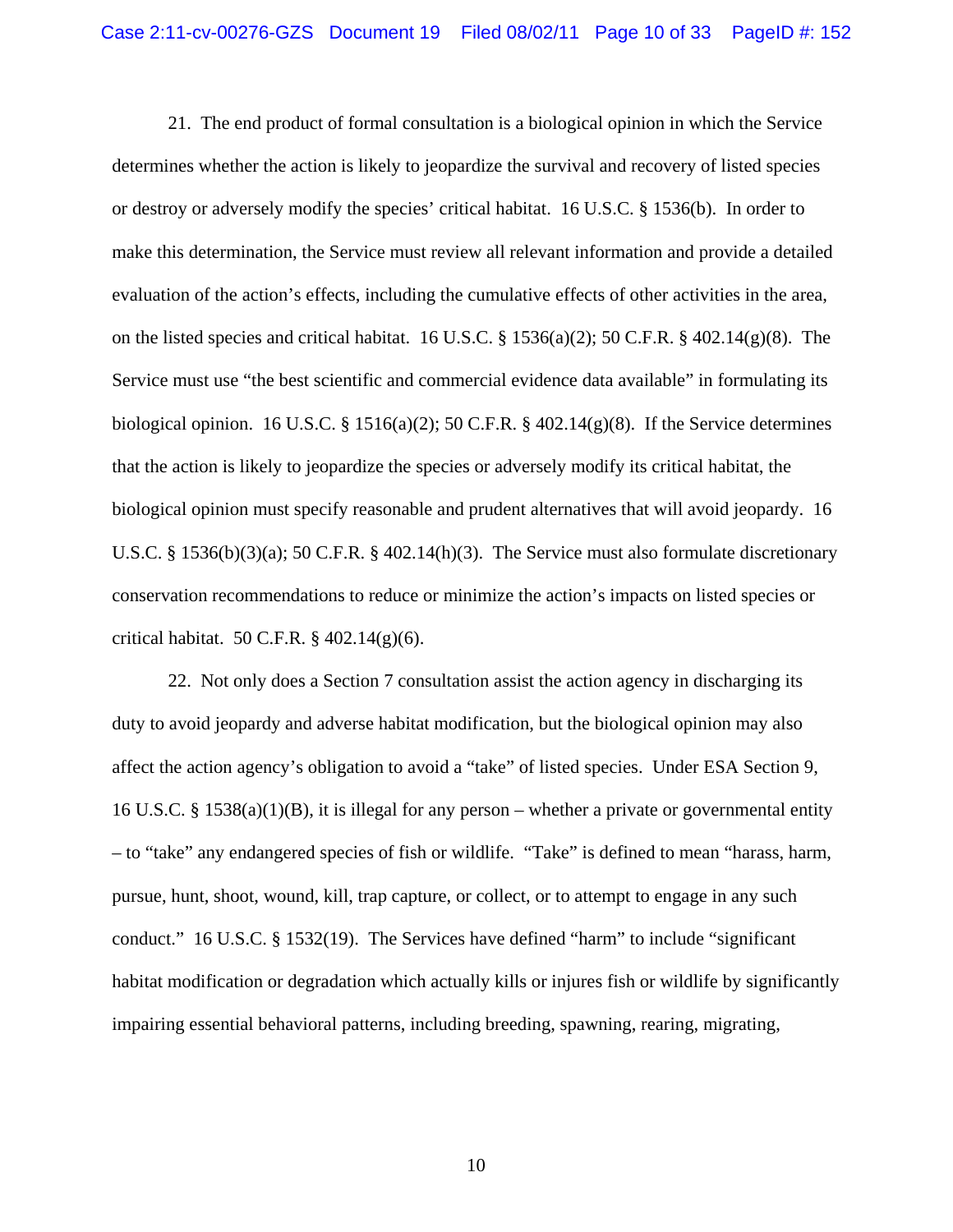21. The end product of formal consultation is a biological opinion in which the Service determines whether the action is likely to jeopardize the survival and recovery of listed species or destroy or adversely modify the species' critical habitat. 16 U.S.C. § 1536(b). In order to make this determination, the Service must review all relevant information and provide a detailed evaluation of the action's effects, including the cumulative effects of other activities in the area, on the listed species and critical habitat. 16 U.S.C. § 1536(a)(2); 50 C.F.R. § 402.14(g)(8). The Service must use "the best scientific and commercial evidence data available" in formulating its biological opinion. 16 U.S.C.  $\S$  1516(a)(2); 50 C.F.R.  $\S$  402.14(g)(8). If the Service determines that the action is likely to jeopardize the species or adversely modify its critical habitat, the biological opinion must specify reasonable and prudent alternatives that will avoid jeopardy. 16 U.S.C. § 1536(b)(3)(a); 50 C.F.R. § 402.14(h)(3). The Service must also formulate discretionary conservation recommendations to reduce or minimize the action's impacts on listed species or critical habitat. 50 C.F.R.  $\S$  402.14(g)(6).

22. Not only does a Section 7 consultation assist the action agency in discharging its duty to avoid jeopardy and adverse habitat modification, but the biological opinion may also affect the action agency's obligation to avoid a "take" of listed species. Under ESA Section 9, 16 U.S.C. § 1538(a)(1)(B), it is illegal for any person – whether a private or governmental entity – to "take" any endangered species of fish or wildlife. "Take" is defined to mean "harass, harm, pursue, hunt, shoot, wound, kill, trap capture, or collect, or to attempt to engage in any such conduct." 16 U.S.C. § 1532(19). The Services have defined "harm" to include "significant habitat modification or degradation which actually kills or injures fish or wildlife by significantly impairing essential behavioral patterns, including breeding, spawning, rearing, migrating,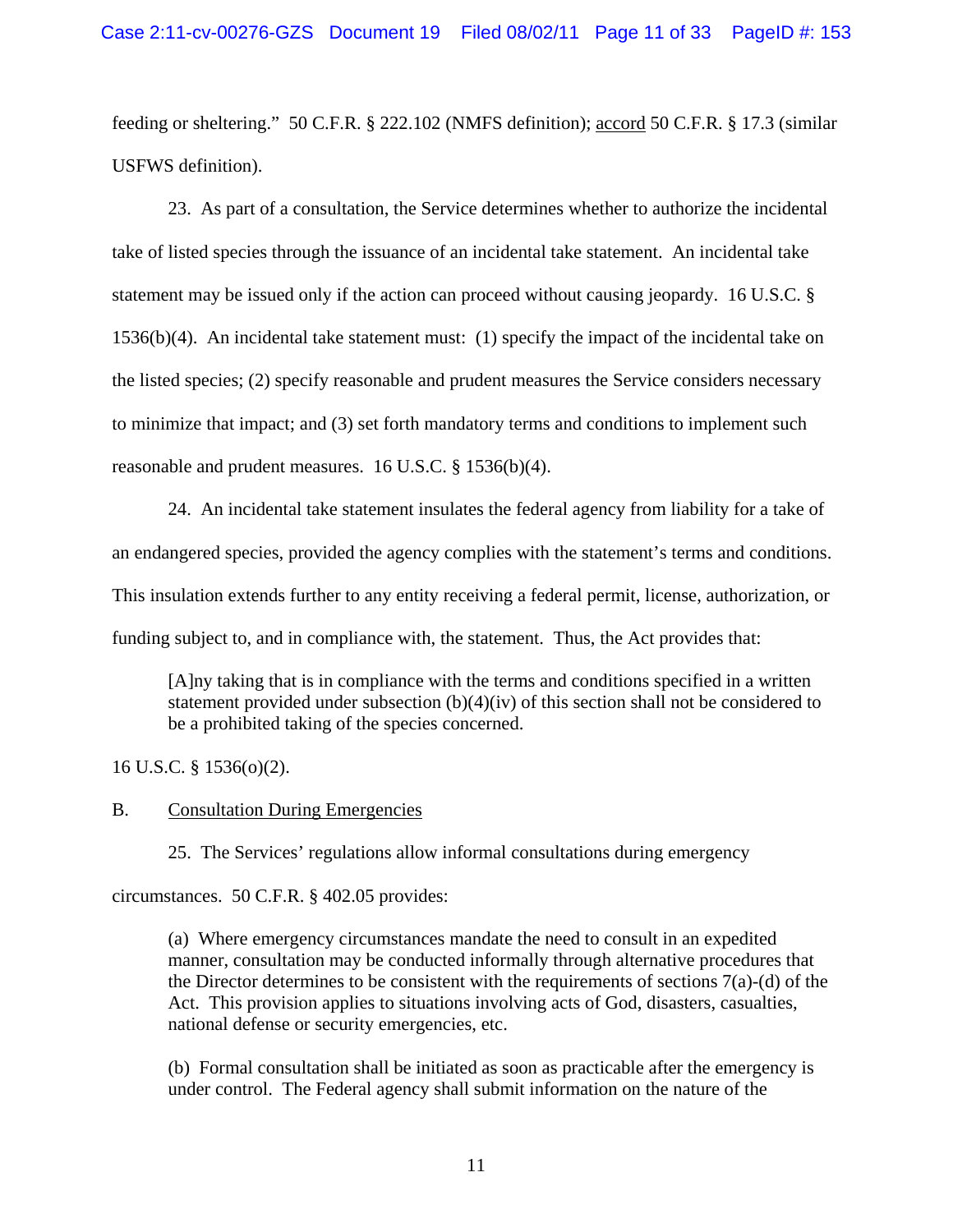feeding or sheltering." 50 C.F.R. § 222.102 (NMFS definition); accord 50 C.F.R. § 17.3 (similar USFWS definition).

23. As part of a consultation, the Service determines whether to authorize the incidental take of listed species through the issuance of an incidental take statement. An incidental take statement may be issued only if the action can proceed without causing jeopardy. 16 U.S.C. § 1536(b)(4). An incidental take statement must: (1) specify the impact of the incidental take on the listed species; (2) specify reasonable and prudent measures the Service considers necessary to minimize that impact; and (3) set forth mandatory terms and conditions to implement such reasonable and prudent measures. 16 U.S.C. § 1536(b)(4).

24. An incidental take statement insulates the federal agency from liability for a take of an endangered species, provided the agency complies with the statement's terms and conditions. This insulation extends further to any entity receiving a federal permit, license, authorization, or funding subject to, and in compliance with, the statement. Thus, the Act provides that:

[A]ny taking that is in compliance with the terms and conditions specified in a written statement provided under subsection (b)(4)(iv) of this section shall not be considered to be a prohibited taking of the species concerned.

16 U.S.C. § 1536(o)(2).

### B. Consultation During Emergencies

25. The Services' regulations allow informal consultations during emergency

circumstances. 50 C.F.R. § 402.05 provides:

(a) Where emergency circumstances mandate the need to consult in an expedited manner, consultation may be conducted informally through alternative procedures that the Director determines to be consistent with the requirements of sections  $7(a)-(d)$  of the Act. This provision applies to situations involving acts of God, disasters, casualties, national defense or security emergencies, etc.

(b) Formal consultation shall be initiated as soon as practicable after the emergency is under control. The Federal agency shall submit information on the nature of the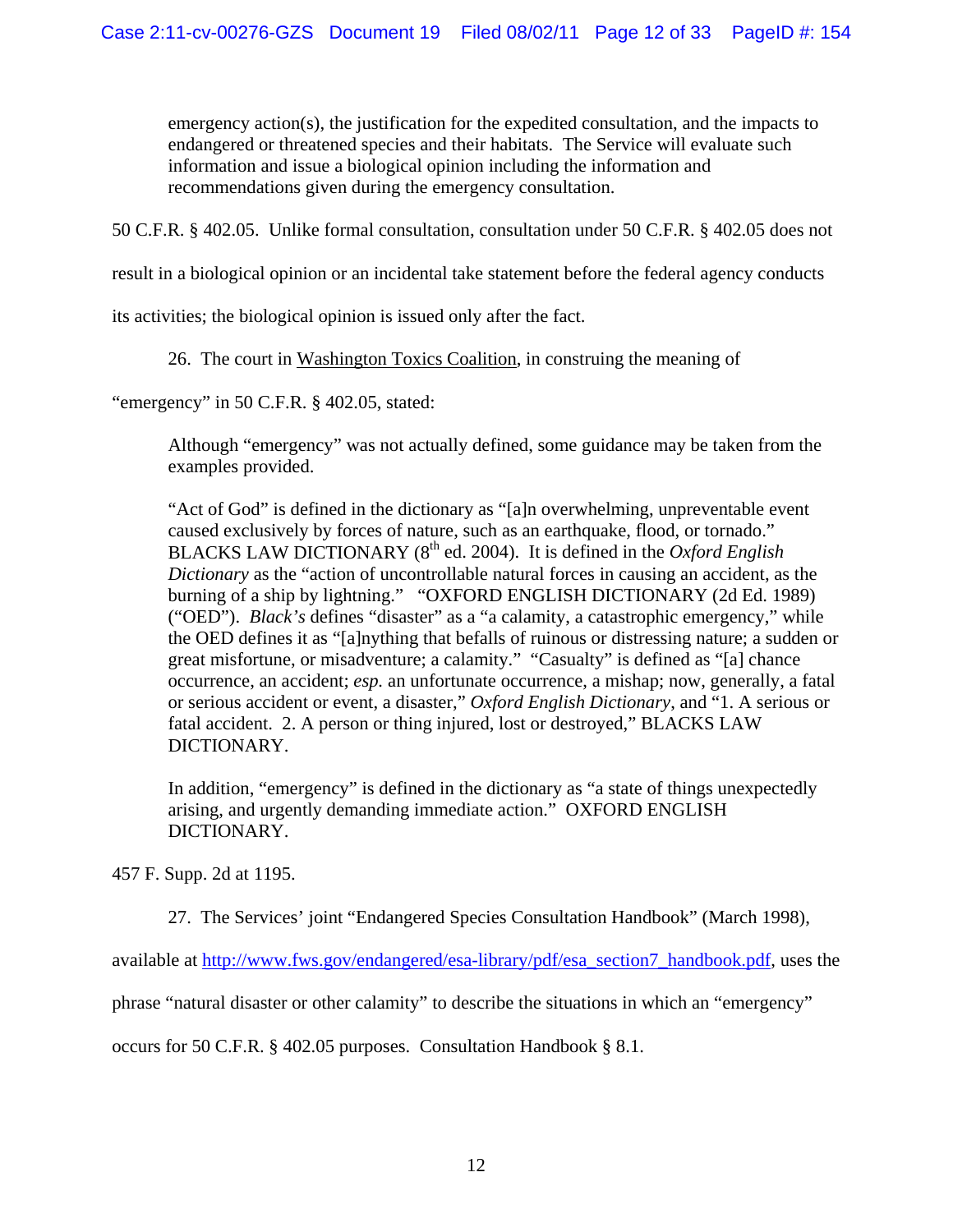emergency action(s), the justification for the expedited consultation, and the impacts to endangered or threatened species and their habitats. The Service will evaluate such information and issue a biological opinion including the information and recommendations given during the emergency consultation.

50 C.F.R. § 402.05. Unlike formal consultation, consultation under 50 C.F.R. § 402.05 does not

result in a biological opinion or an incidental take statement before the federal agency conducts

its activities; the biological opinion is issued only after the fact.

26. The court in Washington Toxics Coalition, in construing the meaning of

"emergency" in 50 C.F.R. § 402.05, stated:

Although "emergency" was not actually defined, some guidance may be taken from the examples provided.

"Act of God" is defined in the dictionary as "[a]n overwhelming, unpreventable event caused exclusively by forces of nature, such as an earthquake, flood, or tornado." BLACKS LAW DICTIONARY (8<sup>th</sup> ed. 2004). It is defined in the *Oxford English Dictionary* as the "action of uncontrollable natural forces in causing an accident, as the burning of a ship by lightning." "OXFORD ENGLISH DICTIONARY (2d Ed. 1989) ("OED"). *Black's* defines "disaster" as a "a calamity, a catastrophic emergency," while the OED defines it as "[a]nything that befalls of ruinous or distressing nature; a sudden or great misfortune, or misadventure; a calamity." "Casualty" is defined as "[a] chance occurrence, an accident; *esp.* an unfortunate occurrence, a mishap; now, generally, a fatal or serious accident or event, a disaster," *Oxford English Dictionary*, and "1. A serious or fatal accident. 2. A person or thing injured, lost or destroyed," BLACKS LAW DICTIONARY.

In addition, "emergency" is defined in the dictionary as "a state of things unexpectedly arising, and urgently demanding immediate action." OXFORD ENGLISH DICTIONARY.

457 F. Supp. 2d at 1195.

27. The Services' joint "Endangered Species Consultation Handbook" (March 1998),

available at [http://www.fws.gov/endangered/esa-library/pdf/esa\\_section7\\_handbook.pdf,](http://www.fws.gov/endangered/esa-library/pdf/esa_section7_handbook.pdf) uses the

phrase "natural disaster or other calamity" to describe the situations in which an "emergency"

occurs for 50 C.F.R. § 402.05 purposes. Consultation Handbook § 8.1.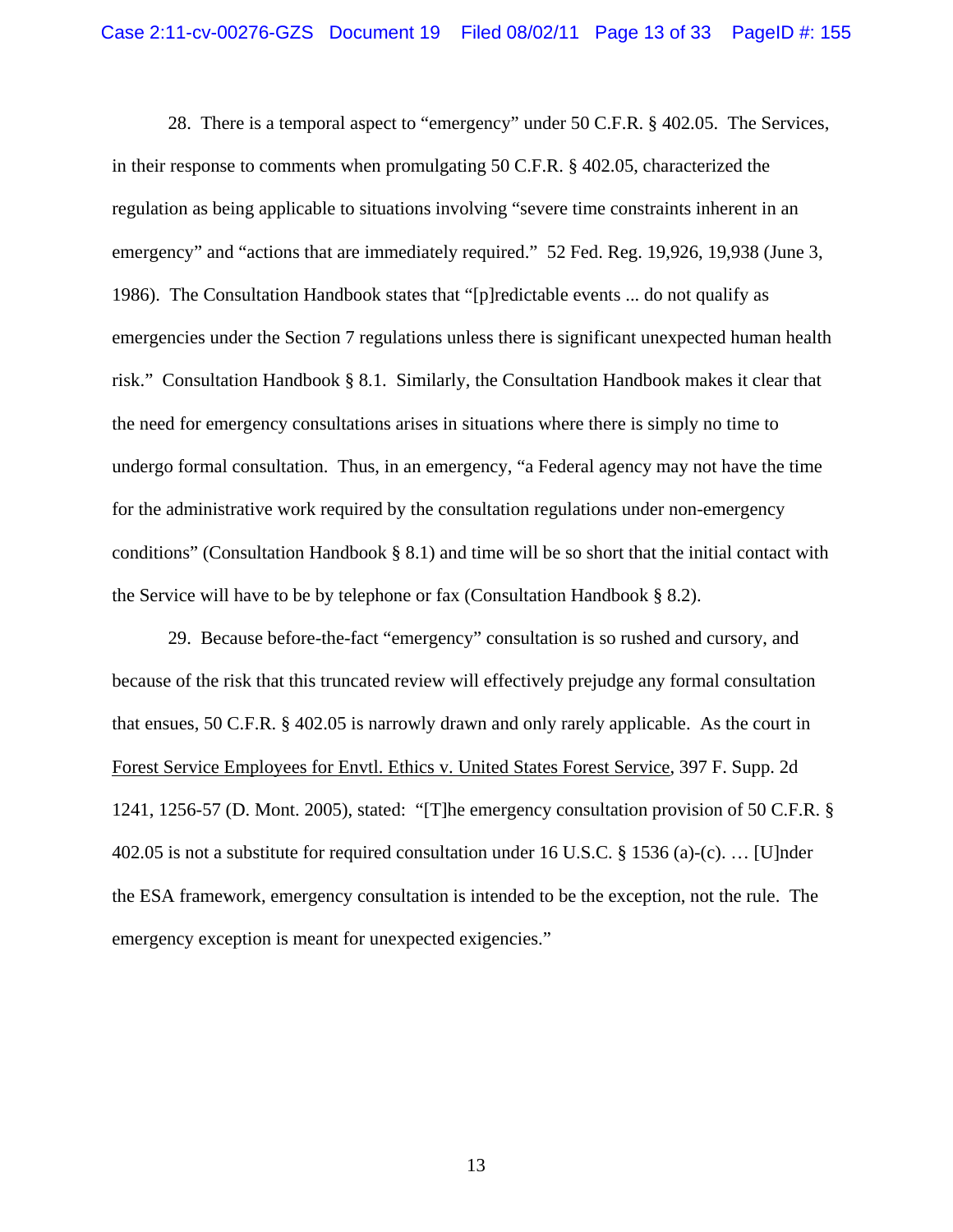28. There is a temporal aspect to "emergency" under 50 C.F.R. § 402.05. The Services, in their response to comments when promulgating 50 C.F.R. § 402.05, characterized the regulation as being applicable to situations involving "severe time constraints inherent in an emergency" and "actions that are immediately required." 52 Fed. Reg. 19,926, 19,938 (June 3, 1986). The Consultation Handbook states that "[p]redictable events ... do not qualify as emergencies under the Section 7 regulations unless there is significant unexpected human health risk." Consultation Handbook § 8.1. Similarly, the Consultation Handbook makes it clear that the need for emergency consultations arises in situations where there is simply no time to undergo formal consultation. Thus, in an emergency, "a Federal agency may not have the time for the administrative work required by the consultation regulations under non-emergency conditions" (Consultation Handbook  $\S 8.1$ ) and time will be so short that the initial contact with the Service will have to be by telephone or fax (Consultation Handbook § 8.2).

29. Because before-the-fact "emergency" consultation is so rushed and cursory, and because of the risk that this truncated review will effectively prejudge any formal consultation that ensues, 50 C.F.R. § 402.05 is narrowly drawn and only rarely applicable. As the court in Forest Service Employees for Envtl. Ethics v. United States Forest Service, 397 F. Supp. 2d 1241, 1256-57 (D. Mont. 2005), stated: "[T]he emergency consultation provision of 50 C.F.R. § 402.05 is not a substitute for required consultation under 16 U.S.C. § 1536 (a)-(c). … [U]nder the ESA framework, emergency consultation is intended to be the exception, not the rule. The emergency exception is meant for unexpected exigencies."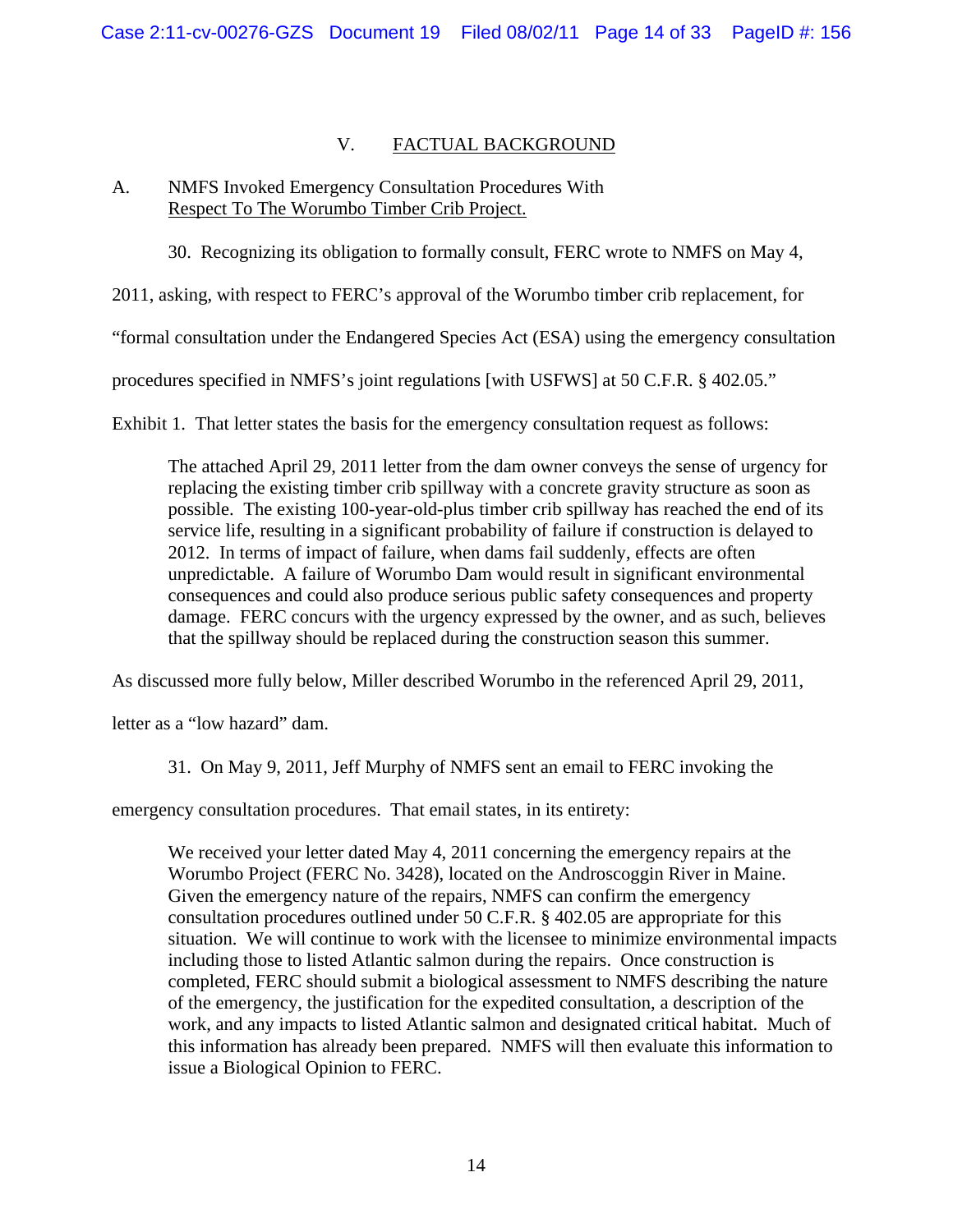# V. FACTUAL BACKGROUND

## A. NMFS Invoked Emergency Consultation Procedures With Respect To The Worumbo Timber Crib Project.

30. Recognizing its obligation to formally consult, FERC wrote to NMFS on May 4,

2011, asking, with respect to FERC's approval of the Worumbo timber crib replacement, for

"formal consultation under the Endangered Species Act (ESA) using the emergency consultation

procedures specified in NMFS's joint regulations [with USFWS] at 50 C.F.R. § 402.05."

Exhibit 1. That letter states the basis for the emergency consultation request as follows:

The attached April 29, 2011 letter from the dam owner conveys the sense of urgency for replacing the existing timber crib spillway with a concrete gravity structure as soon as possible. The existing 100-year-old-plus timber crib spillway has reached the end of its service life, resulting in a significant probability of failure if construction is delayed to 2012. In terms of impact of failure, when dams fail suddenly, effects are often unpredictable. A failure of Worumbo Dam would result in significant environmental consequences and could also produce serious public safety consequences and property damage. FERC concurs with the urgency expressed by the owner, and as such, believes that the spillway should be replaced during the construction season this summer.

As discussed more fully below, Miller described Worumbo in the referenced April 29, 2011,

letter as a "low hazard" dam.

31. On May 9, 2011, Jeff Murphy of NMFS sent an email to FERC invoking the

emergency consultation procedures. That email states, in its entirety:

We received your letter dated May 4, 2011 concerning the emergency repairs at the Worumbo Project (FERC No. 3428), located on the Androscoggin River in Maine. Given the emergency nature of the repairs, NMFS can confirm the emergency consultation procedures outlined under 50 C.F.R. § 402.05 are appropriate for this situation. We will continue to work with the licensee to minimize environmental impacts including those to listed Atlantic salmon during the repairs. Once construction is completed, FERC should submit a biological assessment to NMFS describing the nature of the emergency, the justification for the expedited consultation, a description of the work, and any impacts to listed Atlantic salmon and designated critical habitat. Much of this information has already been prepared. NMFS will then evaluate this information to issue a Biological Opinion to FERC.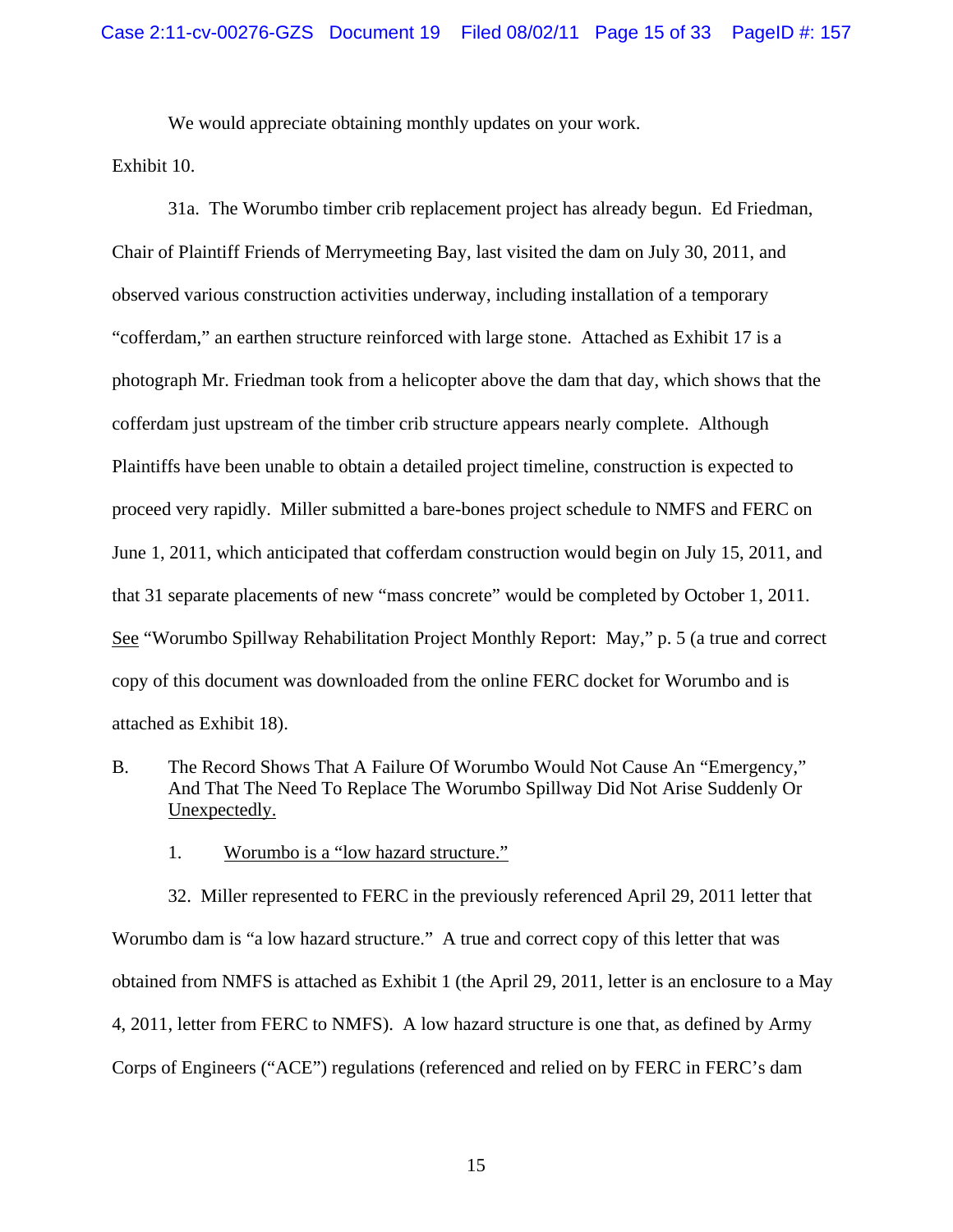We would appreciate obtaining monthly updates on your work.

Exhibit 10.

31a. The Worumbo timber crib replacement project has already begun. Ed Friedman, Chair of Plaintiff Friends of Merrymeeting Bay, last visited the dam on July 30, 2011, and observed various construction activities underway, including installation of a temporary "cofferdam," an earthen structure reinforced with large stone. Attached as Exhibit 17 is a photograph Mr. Friedman took from a helicopter above the dam that day, which shows that the cofferdam just upstream of the timber crib structure appears nearly complete. Although Plaintiffs have been unable to obtain a detailed project timeline, construction is expected to proceed very rapidly. Miller submitted a bare-bones project schedule to NMFS and FERC on June 1, 2011, which anticipated that cofferdam construction would begin on July 15, 2011, and that 31 separate placements of new "mass concrete" would be completed by October 1, 2011. See "Worumbo Spillway Rehabilitation Project Monthly Report: May," p. 5 (a true and correct copy of this document was downloaded from the online FERC docket for Worumbo and is attached as Exhibit 18).

- B. The Record Shows That A Failure Of Worumbo Would Not Cause An "Emergency," And That The Need To Replace The Worumbo Spillway Did Not Arise Suddenly Or Unexpectedly.
	- 1. Worumbo is a "low hazard structure."

32. Miller represented to FERC in the previously referenced April 29, 2011 letter that Worumbo dam is "a low hazard structure." A true and correct copy of this letter that was obtained from NMFS is attached as Exhibit 1 (the April 29, 2011, letter is an enclosure to a May 4, 2011, letter from FERC to NMFS). A low hazard structure is one that, as defined by Army Corps of Engineers ("ACE") regulations (referenced and relied on by FERC in FERC's dam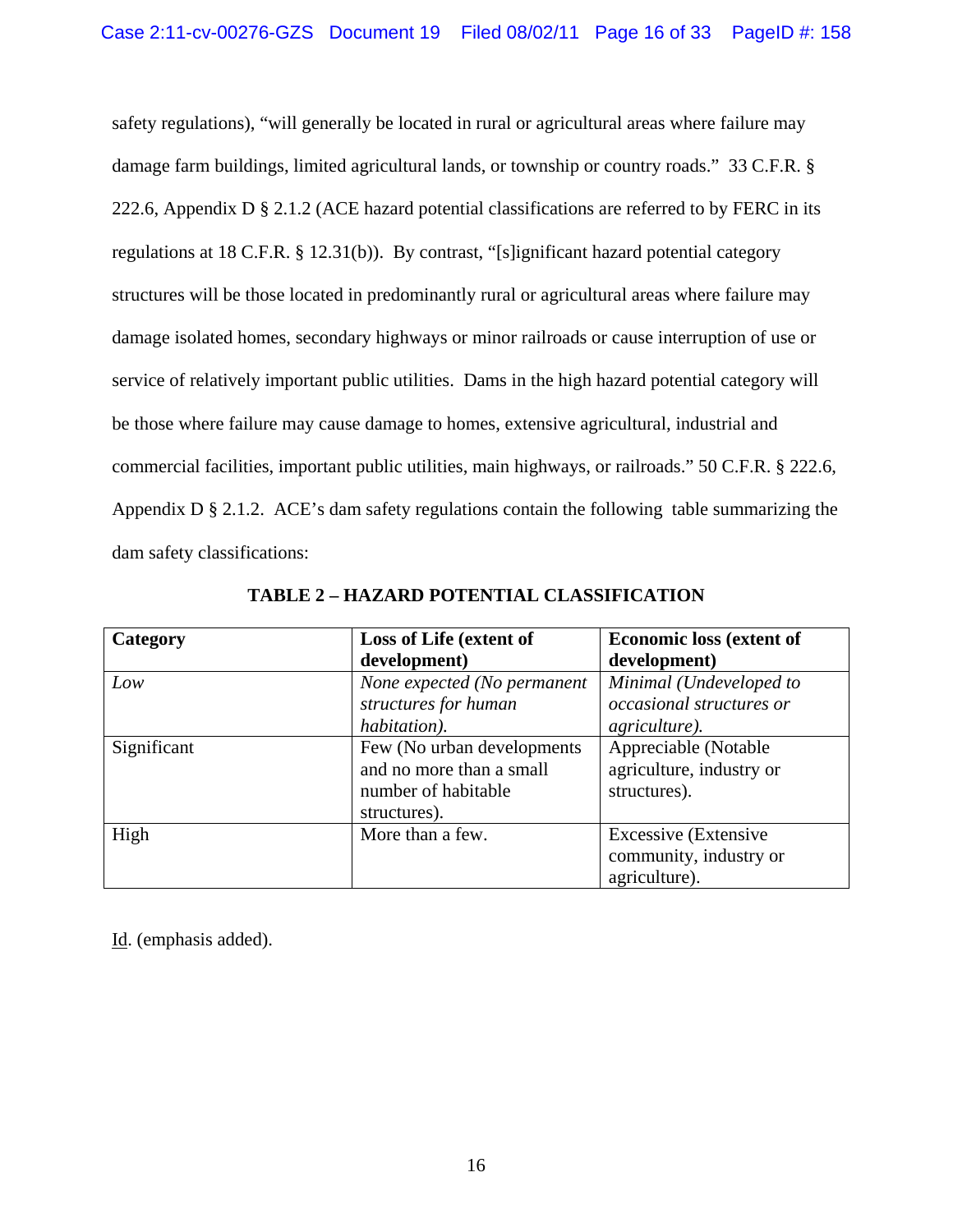safety regulations), "will generally be located in rural or agricultural areas where failure may damage farm buildings, limited agricultural lands, or township or country roads." 33 C.F.R. § 222.6, Appendix D § 2.1.2 (ACE hazard potential classifications are referred to by FERC in its regulations at 18 C.F.R. § 12.31(b)). By contrast, "[s]ignificant hazard potential category structures will be those located in predominantly rural or agricultural areas where failure may damage isolated homes, secondary highways or minor railroads or cause interruption of use or service of relatively important public utilities. Dams in the high hazard potential category will be those where failure may cause damage to homes, extensive agricultural, industrial and commercial facilities, important public utilities, main highways, or railroads." 50 C.F.R. § 222.6, Appendix  $D \S 2.1.2$ . ACE's dam safety regulations contain the following table summarizing the dam safety classifications:

| Category    | Loss of Life (extent of     | <b>Economic loss (extent of</b> |
|-------------|-----------------------------|---------------------------------|
|             | development)                | development)                    |
| Low         | None expected (No permanent | Minimal (Undeveloped to         |
|             | structures for human        | <i>occasional structures or</i> |
|             | habitation).                | <i>agriculture</i> ).           |
| Significant | Few (No urban developments) | Appreciable (Notable            |
|             | and no more than a small    | agriculture, industry or        |
|             | number of habitable         | structures).                    |
|             | structures).                |                                 |
| High        | More than a few.            | <b>Excessive</b> (Extensive     |
|             |                             | community, industry or          |
|             |                             | agriculture).                   |

**TABLE 2 – HAZARD POTENTIAL CLASSIFICATION**

Id. (emphasis added).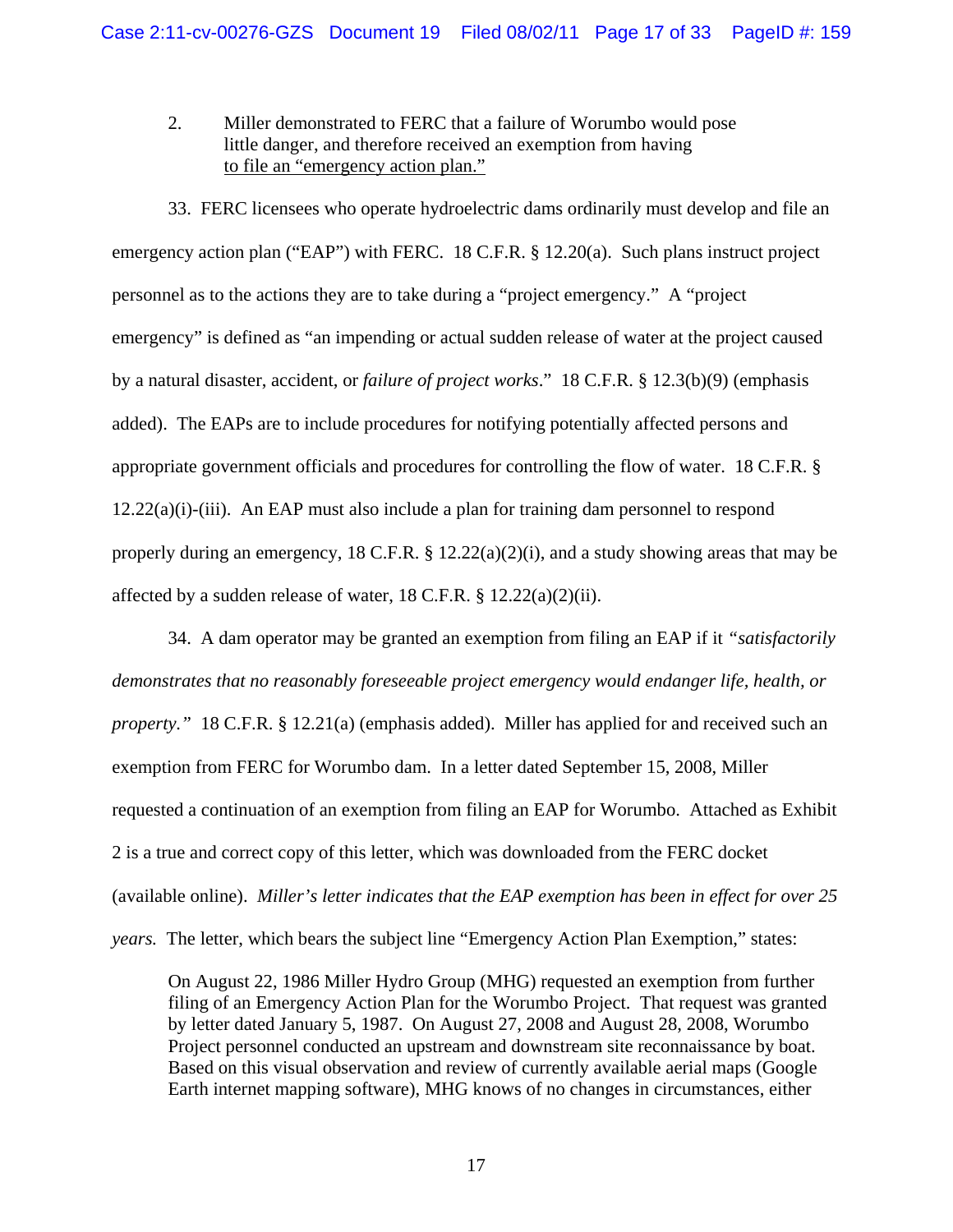2. Miller demonstrated to FERC that a failure of Worumbo would pose little danger, and therefore received an exemption from having to file an "emergency action plan."

33. FERC licensees who operate hydroelectric dams ordinarily must develop and file an emergency action plan ("EAP") with FERC. 18 C.F.R. § 12.20(a). Such plans instruct project personnel as to the actions they are to take during a "project emergency." A "project emergency" is defined as "an impending or actual sudden release of water at the project caused by a natural disaster, accident, or *failure of project works*." 18 C.F.R. § 12.3(b)(9) (emphasis added). The EAPs are to include procedures for notifying potentially affected persons and appropriate government officials and procedures for controlling the flow of water. 18 C.F.R. §  $12.22(a)(i)$ -(iii). An EAP must also include a plan for training dam personnel to respond properly during an emergency, 18 C.F.R. § 12.22(a)(2)(i), and a study showing areas that may be affected by a sudden release of water,  $18$  C.F.R. §  $12.22(a)(2)(ii)$ .

34. A dam operator may be granted an exemption from filing an EAP if it *"satisfactorily demonstrates that no reasonably foreseeable project emergency would endanger life, health, or property.*" 18 C.F.R. § 12.21(a) (emphasis added). Miller has applied for and received such an exemption from FERC for Worumbo dam. In a letter dated September 15, 2008, Miller requested a continuation of an exemption from filing an EAP for Worumbo. Attached as Exhibit 2 is a true and correct copy of this letter, which was downloaded from the FERC docket (available online). *Miller's letter indicates that the EAP exemption has been in effect for over 25 years.* The letter, which bears the subject line "Emergency Action Plan Exemption," states:

On August 22, 1986 Miller Hydro Group (MHG) requested an exemption from further filing of an Emergency Action Plan for the Worumbo Project. That request was granted by letter dated January 5, 1987. On August 27, 2008 and August 28, 2008, Worumbo Project personnel conducted an upstream and downstream site reconnaissance by boat. Based on this visual observation and review of currently available aerial maps (Google Earth internet mapping software), MHG knows of no changes in circumstances, either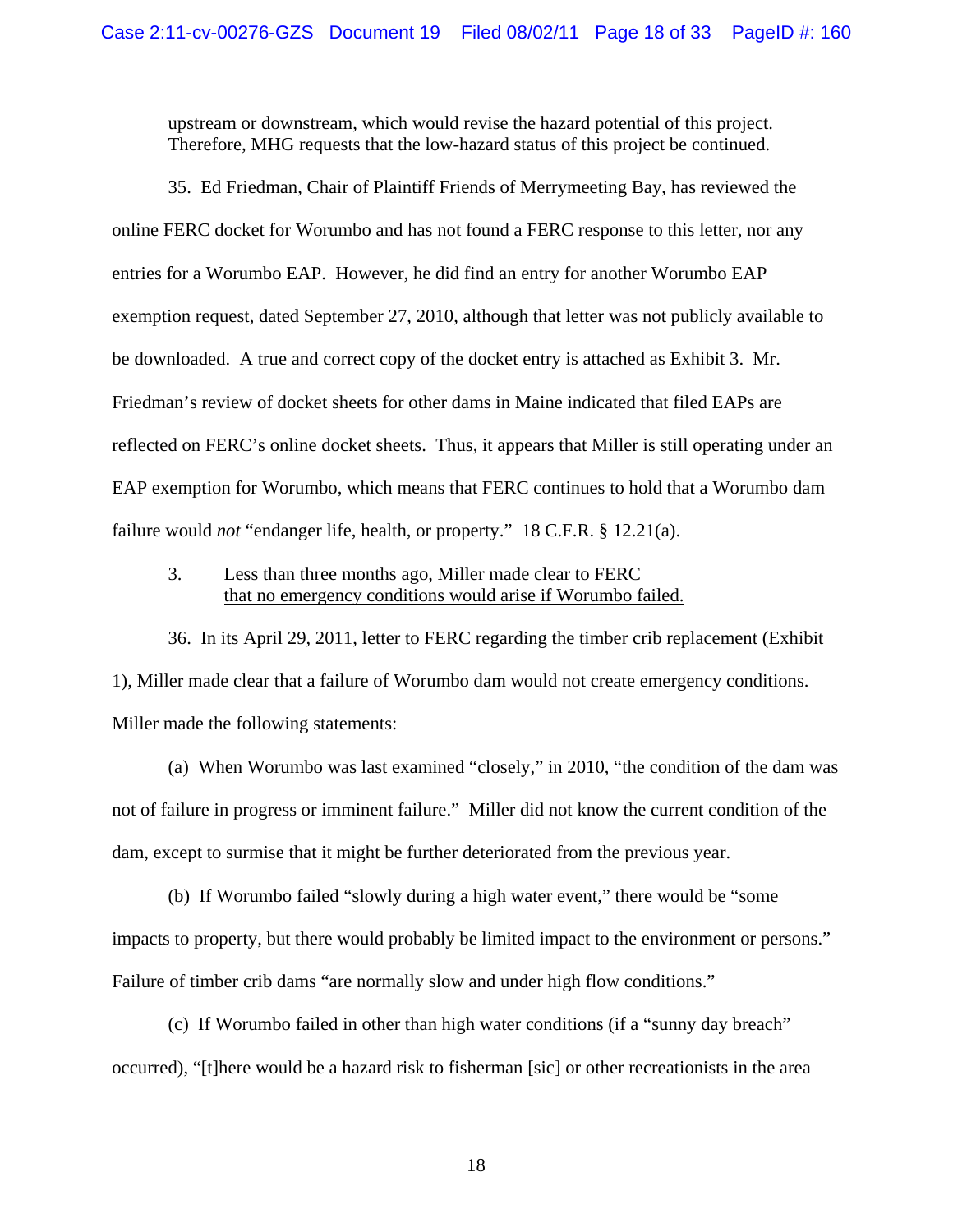upstream or downstream, which would revise the hazard potential of this project. Therefore, MHG requests that the low-hazard status of this project be continued.

35. Ed Friedman, Chair of Plaintiff Friends of Merrymeeting Bay, has reviewed the online FERC docket for Worumbo and has not found a FERC response to this letter, nor any entries for a Worumbo EAP. However, he did find an entry for another Worumbo EAP exemption request, dated September 27, 2010, although that letter was not publicly available to be downloaded. A true and correct copy of the docket entry is attached as Exhibit 3. Mr. Friedman's review of docket sheets for other dams in Maine indicated that filed EAPs are reflected on FERC's online docket sheets. Thus, it appears that Miller is still operating under an EAP exemption for Worumbo, which means that FERC continues to hold that a Worumbo dam failure would *not* "endanger life, health, or property." 18 C.F.R. § 12.21(a).

## 3. Less than three months ago, Miller made clear to FERC that no emergency conditions would arise if Worumbo failed.

36. In its April 29, 2011, letter to FERC regarding the timber crib replacement (Exhibit 1), Miller made clear that a failure of Worumbo dam would not create emergency conditions. Miller made the following statements:

(a) When Worumbo was last examined "closely," in 2010, "the condition of the dam was not of failure in progress or imminent failure." Miller did not know the current condition of the dam, except to surmise that it might be further deteriorated from the previous year.

(b) If Worumbo failed "slowly during a high water event," there would be "some impacts to property, but there would probably be limited impact to the environment or persons." Failure of timber crib dams "are normally slow and under high flow conditions."

(c) If Worumbo failed in other than high water conditions (if a "sunny day breach" occurred), "[t]here would be a hazard risk to fisherman [sic] or other recreationists in the area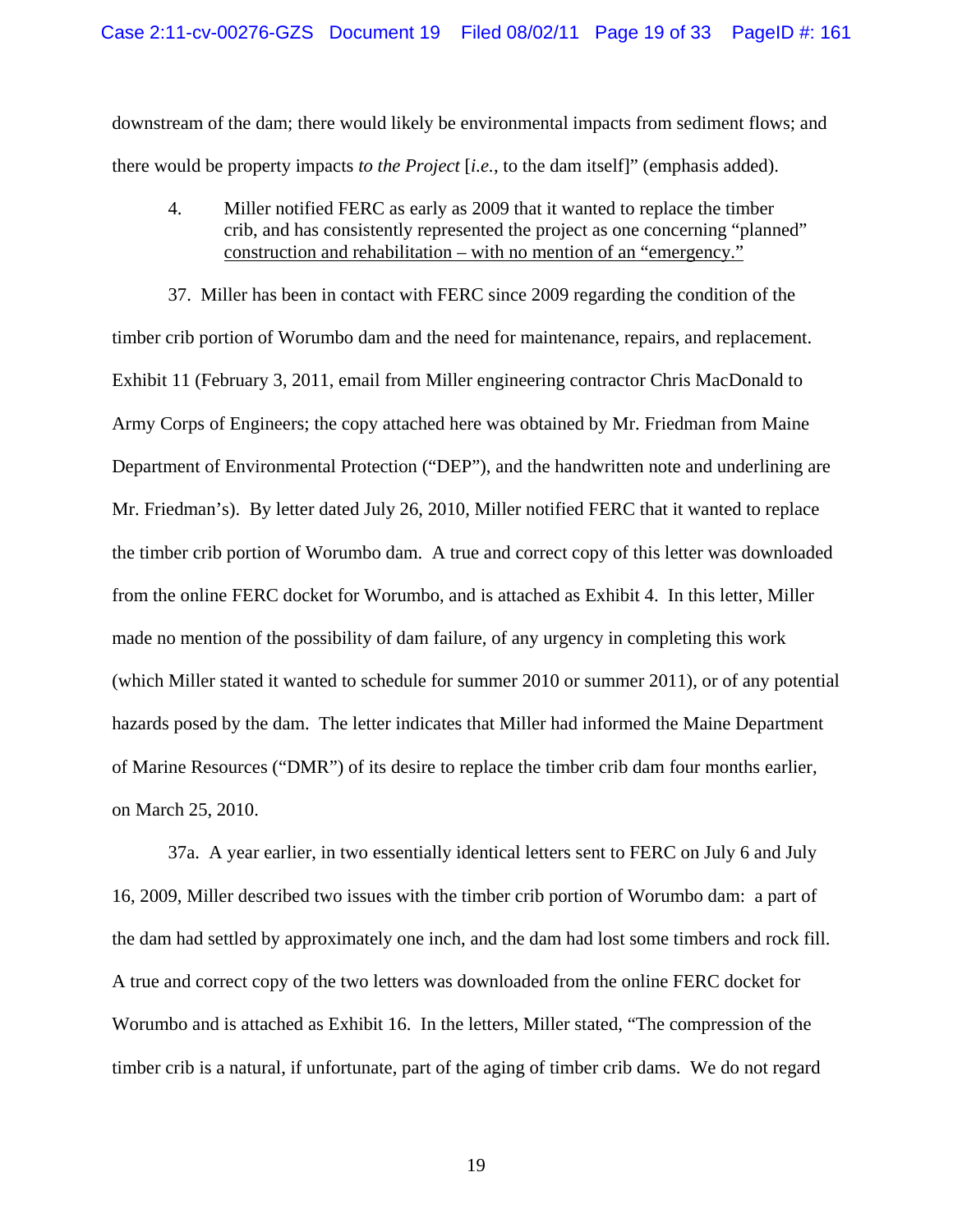downstream of the dam; there would likely be environmental impacts from sediment flows; and there would be property impacts *to the Project* [*i.e.*, to the dam itself]" (emphasis added).

4. Miller notified FERC as early as 2009 that it wanted to replace the timber crib, and has consistently represented the project as one concerning "planned" construction and rehabilitation – with no mention of an "emergency."

37. Miller has been in contact with FERC since 2009 regarding the condition of the timber crib portion of Worumbo dam and the need for maintenance, repairs, and replacement. Exhibit 11 (February 3, 2011, email from Miller engineering contractor Chris MacDonald to Army Corps of Engineers; the copy attached here was obtained by Mr. Friedman from Maine Department of Environmental Protection ("DEP"), and the handwritten note and underlining are Mr. Friedman's). By letter dated July 26, 2010, Miller notified FERC that it wanted to replace the timber crib portion of Worumbo dam. A true and correct copy of this letter was downloaded from the online FERC docket for Worumbo, and is attached as Exhibit 4. In this letter, Miller made no mention of the possibility of dam failure, of any urgency in completing this work (which Miller stated it wanted to schedule for summer 2010 or summer 2011), or of any potential hazards posed by the dam. The letter indicates that Miller had informed the Maine Department of Marine Resources ("DMR") of its desire to replace the timber crib dam four months earlier, on March 25, 2010.

37a. A year earlier, in two essentially identical letters sent to FERC on July 6 and July 16, 2009, Miller described two issues with the timber crib portion of Worumbo dam: a part of the dam had settled by approximately one inch, and the dam had lost some timbers and rock fill. A true and correct copy of the two letters was downloaded from the online FERC docket for Worumbo and is attached as Exhibit 16. In the letters, Miller stated, "The compression of the timber crib is a natural, if unfortunate, part of the aging of timber crib dams. We do not regard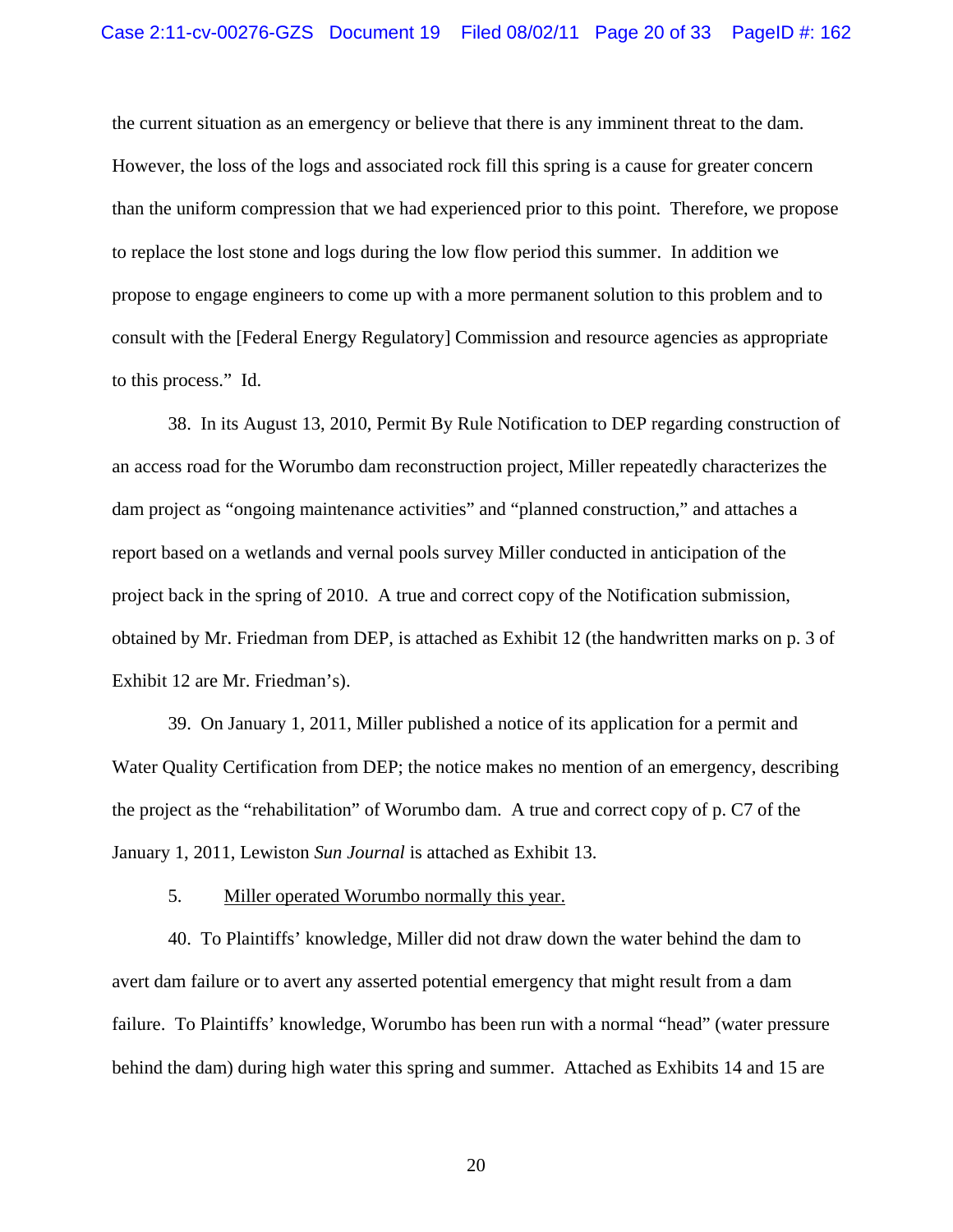the current situation as an emergency or believe that there is any imminent threat to the dam. However, the loss of the logs and associated rock fill this spring is a cause for greater concern than the uniform compression that we had experienced prior to this point. Therefore, we propose to replace the lost stone and logs during the low flow period this summer. In addition we propose to engage engineers to come up with a more permanent solution to this problem and to consult with the [Federal Energy Regulatory] Commission and resource agencies as appropriate to this process." Id.

38. In its August 13, 2010, Permit By Rule Notification to DEP regarding construction of an access road for the Worumbo dam reconstruction project, Miller repeatedly characterizes the dam project as "ongoing maintenance activities" and "planned construction," and attaches a report based on a wetlands and vernal pools survey Miller conducted in anticipation of the project back in the spring of 2010. A true and correct copy of the Notification submission, obtained by Mr. Friedman from DEP, is attached as Exhibit 12 (the handwritten marks on p. 3 of Exhibit 12 are Mr. Friedman's).

39. On January 1, 2011, Miller published a notice of its application for a permit and Water Quality Certification from DEP; the notice makes no mention of an emergency, describing the project as the "rehabilitation" of Worumbo dam. A true and correct copy of p. C7 of the January 1, 2011, Lewiston *Sun Journal* is attached as Exhibit 13.

5. Miller operated Worumbo normally this year.

40. To Plaintiffs' knowledge, Miller did not draw down the water behind the dam to avert dam failure or to avert any asserted potential emergency that might result from a dam failure. To Plaintiffs' knowledge, Worumbo has been run with a normal "head" (water pressure behind the dam) during high water this spring and summer. Attached as Exhibits 14 and 15 are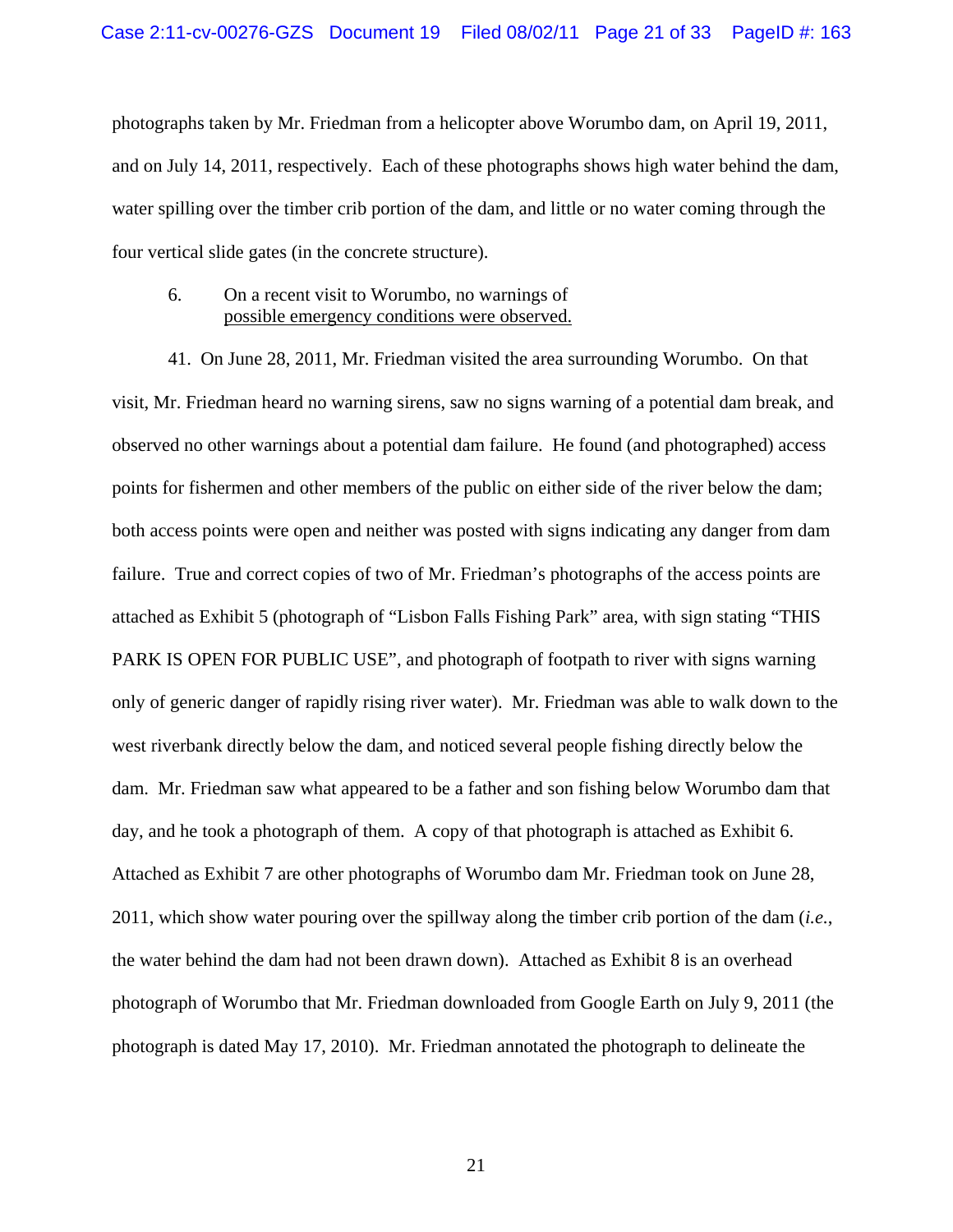photographs taken by Mr. Friedman from a helicopter above Worumbo dam, on April 19, 2011, and on July 14, 2011, respectively. Each of these photographs shows high water behind the dam, water spilling over the timber crib portion of the dam, and little or no water coming through the four vertical slide gates (in the concrete structure).

### 6. On a recent visit to Worumbo, no warnings of possible emergency conditions were observed.

41. On June 28, 2011, Mr. Friedman visited the area surrounding Worumbo. On that visit, Mr. Friedman heard no warning sirens, saw no signs warning of a potential dam break, and observed no other warnings about a potential dam failure. He found (and photographed) access points for fishermen and other members of the public on either side of the river below the dam; both access points were open and neither was posted with signs indicating any danger from dam failure. True and correct copies of two of Mr. Friedman's photographs of the access points are attached as Exhibit 5 (photograph of "Lisbon Falls Fishing Park" area, with sign stating "THIS PARK IS OPEN FOR PUBLIC USE", and photograph of footpath to river with signs warning only of generic danger of rapidly rising river water). Mr. Friedman was able to walk down to the west riverbank directly below the dam, and noticed several people fishing directly below the dam. Mr. Friedman saw what appeared to be a father and son fishing below Worumbo dam that day, and he took a photograph of them. A copy of that photograph is attached as Exhibit 6. Attached as Exhibit 7 are other photographs of Worumbo dam Mr. Friedman took on June 28, 2011, which show water pouring over the spillway along the timber crib portion of the dam (*i.e.*, the water behind the dam had not been drawn down). Attached as Exhibit 8 is an overhead photograph of Worumbo that Mr. Friedman downloaded from Google Earth on July 9, 2011 (the photograph is dated May 17, 2010). Mr. Friedman annotated the photograph to delineate the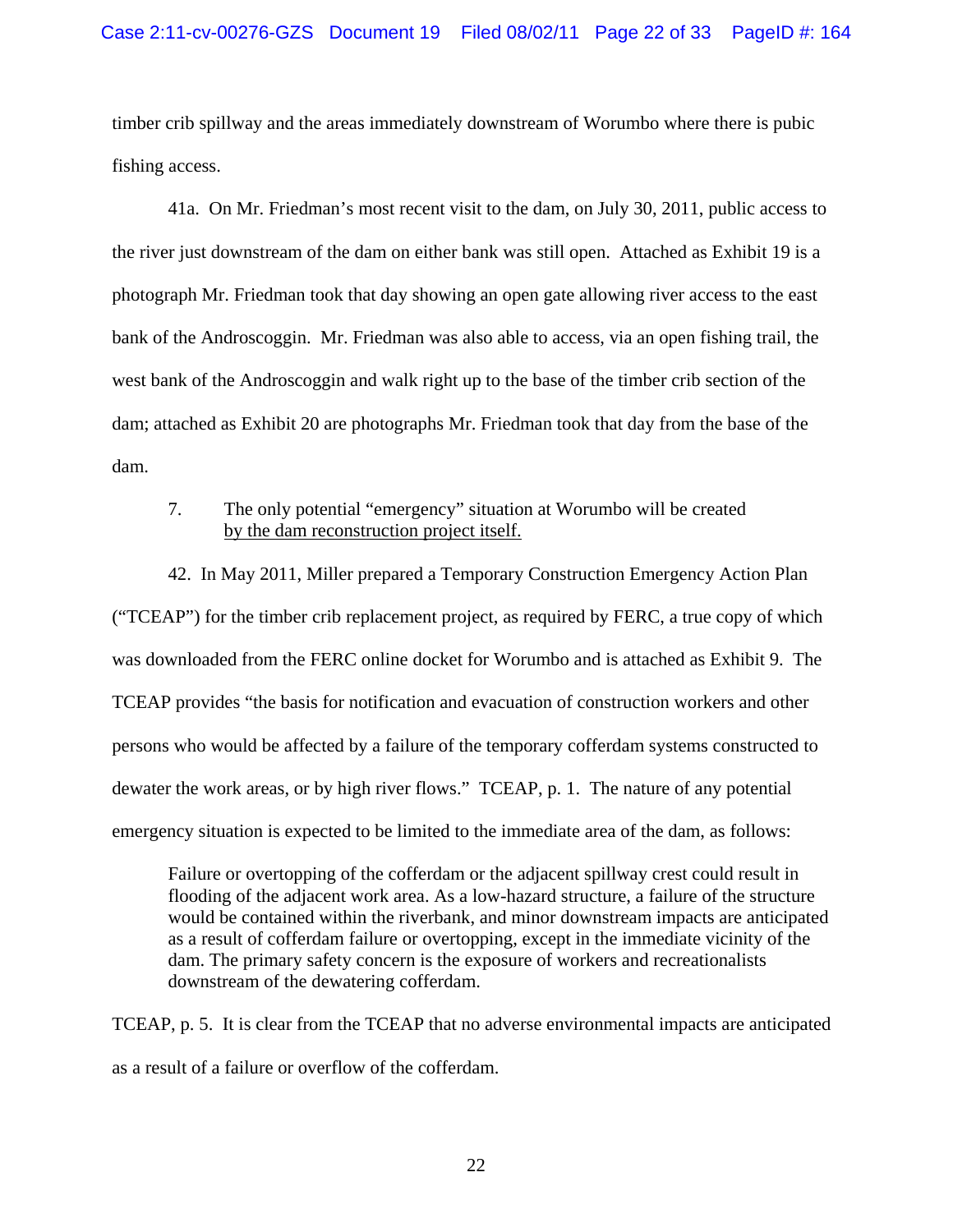timber crib spillway and the areas immediately downstream of Worumbo where there is pubic fishing access.

41a. On Mr. Friedman's most recent visit to the dam, on July 30, 2011, public access to the river just downstream of the dam on either bank was still open. Attached as Exhibit 19 is a photograph Mr. Friedman took that day showing an open gate allowing river access to the east bank of the Androscoggin. Mr. Friedman was also able to access, via an open fishing trail, the west bank of the Androscoggin and walk right up to the base of the timber crib section of the dam; attached as Exhibit 20 are photographs Mr. Friedman took that day from the base of the dam.

## 7. The only potential "emergency" situation at Worumbo will be created by the dam reconstruction project itself.

42. In May 2011, Miller prepared a Temporary Construction Emergency Action Plan ("TCEAP") for the timber crib replacement project, as required by FERC, a true copy of which was downloaded from the FERC online docket for Worumbo and is attached as Exhibit 9. The TCEAP provides "the basis for notification and evacuation of construction workers and other persons who would be affected by a failure of the temporary cofferdam systems constructed to dewater the work areas, or by high river flows." TCEAP, p. 1. The nature of any potential emergency situation is expected to be limited to the immediate area of the dam, as follows:

Failure or overtopping of the cofferdam or the adjacent spillway crest could result in flooding of the adjacent work area. As a low-hazard structure, a failure of the structure would be contained within the riverbank, and minor downstream impacts are anticipated as a result of cofferdam failure or overtopping, except in the immediate vicinity of the dam. The primary safety concern is the exposure of workers and recreationalists downstream of the dewatering cofferdam.

TCEAP, p. 5. It is clear from the TCEAP that no adverse environmental impacts are anticipated as a result of a failure or overflow of the cofferdam.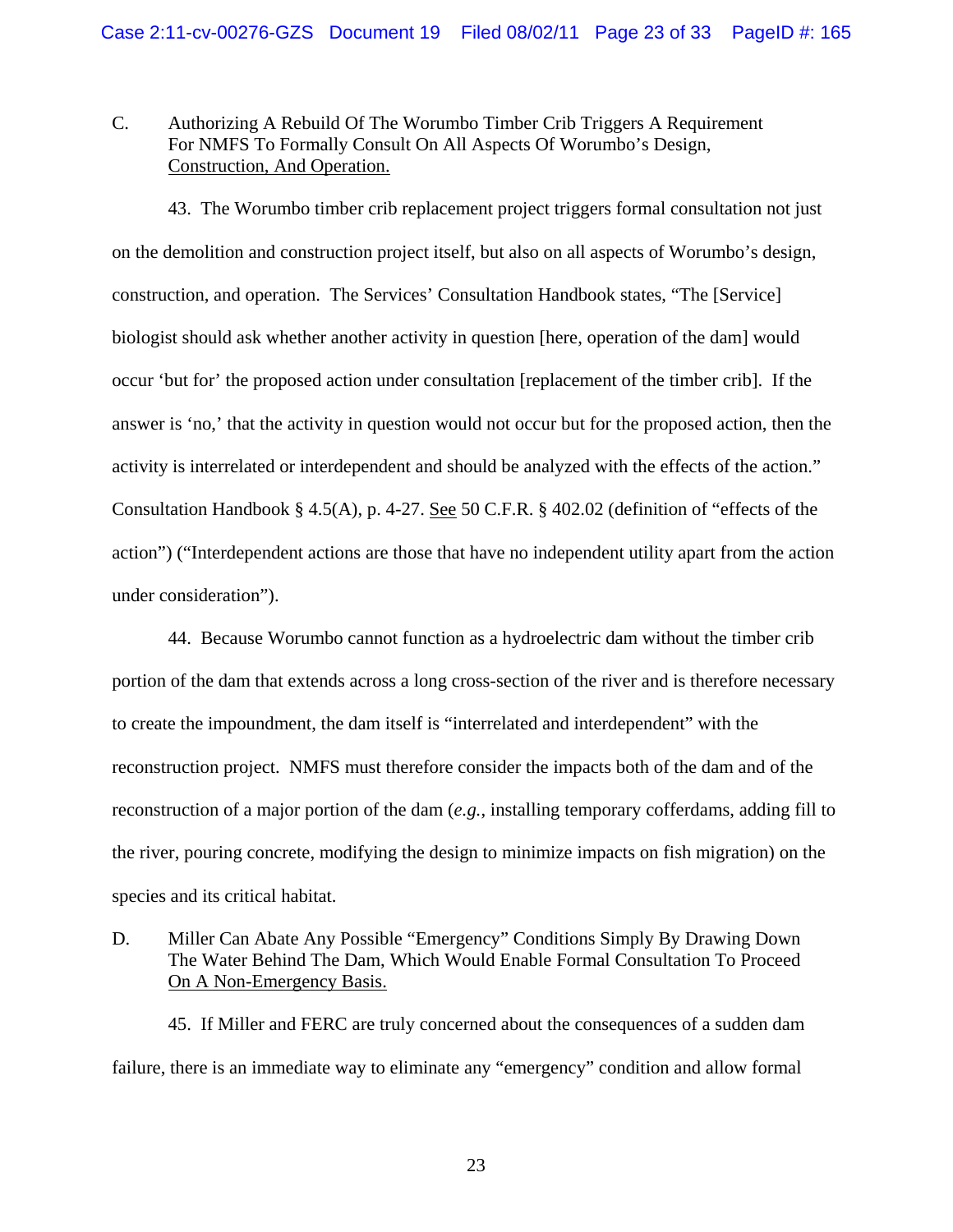## C. Authorizing A Rebuild Of The Worumbo Timber Crib Triggers A Requirement For NMFS To Formally Consult On All Aspects Of Worumbo's Design, Construction, And Operation.

43. The Worumbo timber crib replacement project triggers formal consultation not just on the demolition and construction project itself, but also on all aspects of Worumbo's design, construction, and operation. The Services' Consultation Handbook states, "The [Service] biologist should ask whether another activity in question [here, operation of the dam] would occur 'but for' the proposed action under consultation [replacement of the timber crib]. If the answer is 'no,' that the activity in question would not occur but for the proposed action, then the activity is interrelated or interdependent and should be analyzed with the effects of the action." Consultation Handbook § 4.5(A), p. 4-27. See 50 C.F.R. § 402.02 (definition of "effects of the action") ("Interdependent actions are those that have no independent utility apart from the action under consideration").

44. Because Worumbo cannot function as a hydroelectric dam without the timber crib portion of the dam that extends across a long cross-section of the river and is therefore necessary to create the impoundment, the dam itself is "interrelated and interdependent" with the reconstruction project. NMFS must therefore consider the impacts both of the dam and of the reconstruction of a major portion of the dam (*e.g.*, installing temporary cofferdams, adding fill to the river, pouring concrete, modifying the design to minimize impacts on fish migration) on the species and its critical habitat.

D. Miller Can Abate Any Possible "Emergency" Conditions Simply By Drawing Down The Water Behind The Dam, Which Would Enable Formal Consultation To Proceed On A Non-Emergency Basis.

45. If Miller and FERC are truly concerned about the consequences of a sudden dam failure, there is an immediate way to eliminate any "emergency" condition and allow formal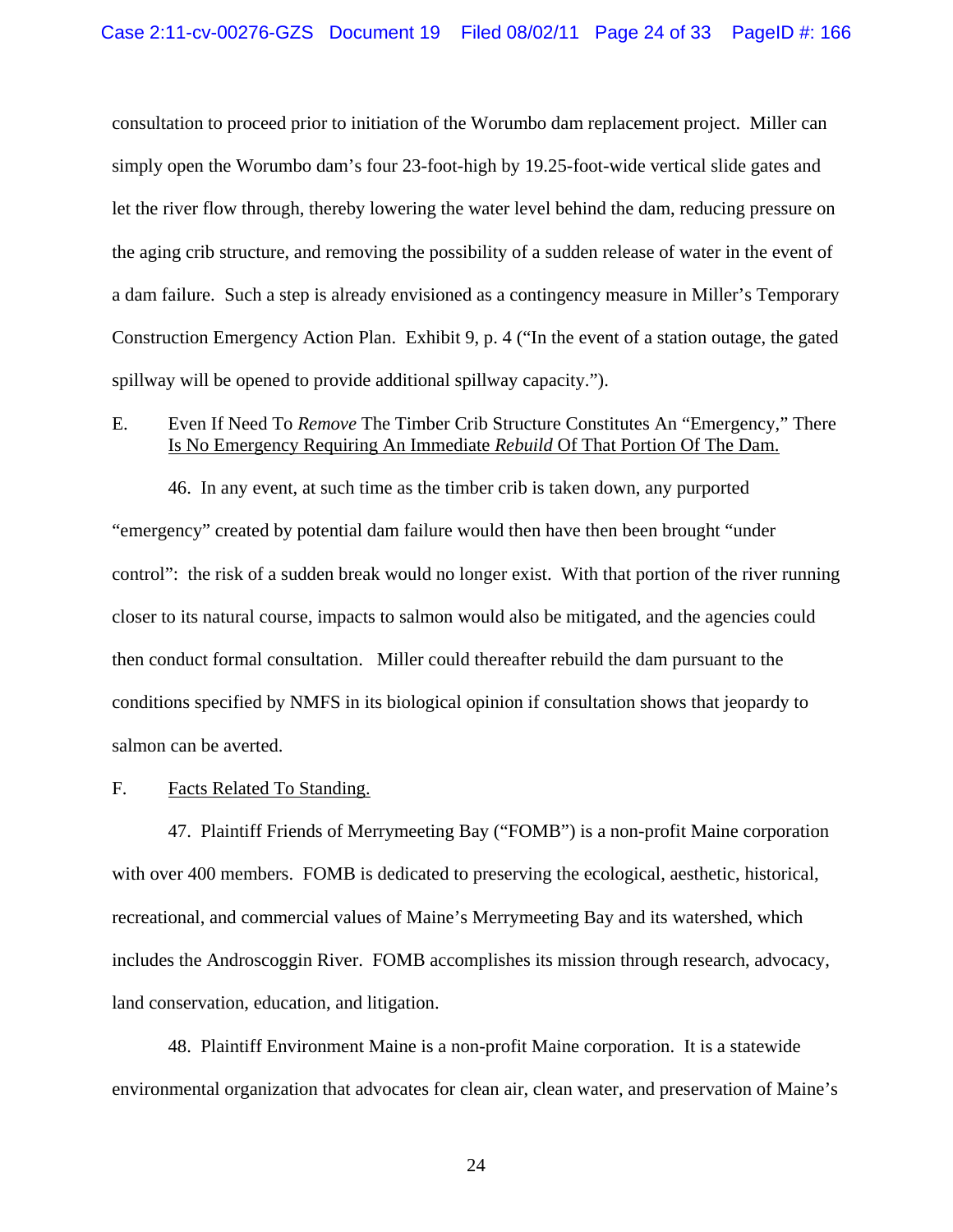consultation to proceed prior to initiation of the Worumbo dam replacement project. Miller can simply open the Worumbo dam's four 23-foot-high by 19.25-foot-wide vertical slide gates and let the river flow through, thereby lowering the water level behind the dam, reducing pressure on the aging crib structure, and removing the possibility of a sudden release of water in the event of a dam failure. Such a step is already envisioned as a contingency measure in Miller's Temporary Construction Emergency Action Plan. Exhibit 9, p. 4 ("In the event of a station outage, the gated spillway will be opened to provide additional spillway capacity.").

## E. Even If Need To *Remove* The Timber Crib Structure Constitutes An "Emergency," There Is No Emergency Requiring An Immediate *Rebuild* Of That Portion Of The Dam.

46. In any event, at such time as the timber crib is taken down, any purported "emergency" created by potential dam failure would then have then been brought "under control": the risk of a sudden break would no longer exist. With that portion of the river running closer to its natural course, impacts to salmon would also be mitigated, and the agencies could then conduct formal consultation. Miller could thereafter rebuild the dam pursuant to the conditions specified by NMFS in its biological opinion if consultation shows that jeopardy to salmon can be averted.

## F. Facts Related To Standing.

47. Plaintiff Friends of Merrymeeting Bay ("FOMB") is a non-profit Maine corporation with over 400 members. FOMB is dedicated to preserving the ecological, aesthetic, historical, recreational, and commercial values of Maine's Merrymeeting Bay and its watershed, which includes the Androscoggin River. FOMB accomplishes its mission through research, advocacy, land conservation, education, and litigation.

48. Plaintiff Environment Maine is a non-profit Maine corporation. It is a statewide environmental organization that advocates for clean air, clean water, and preservation of Maine's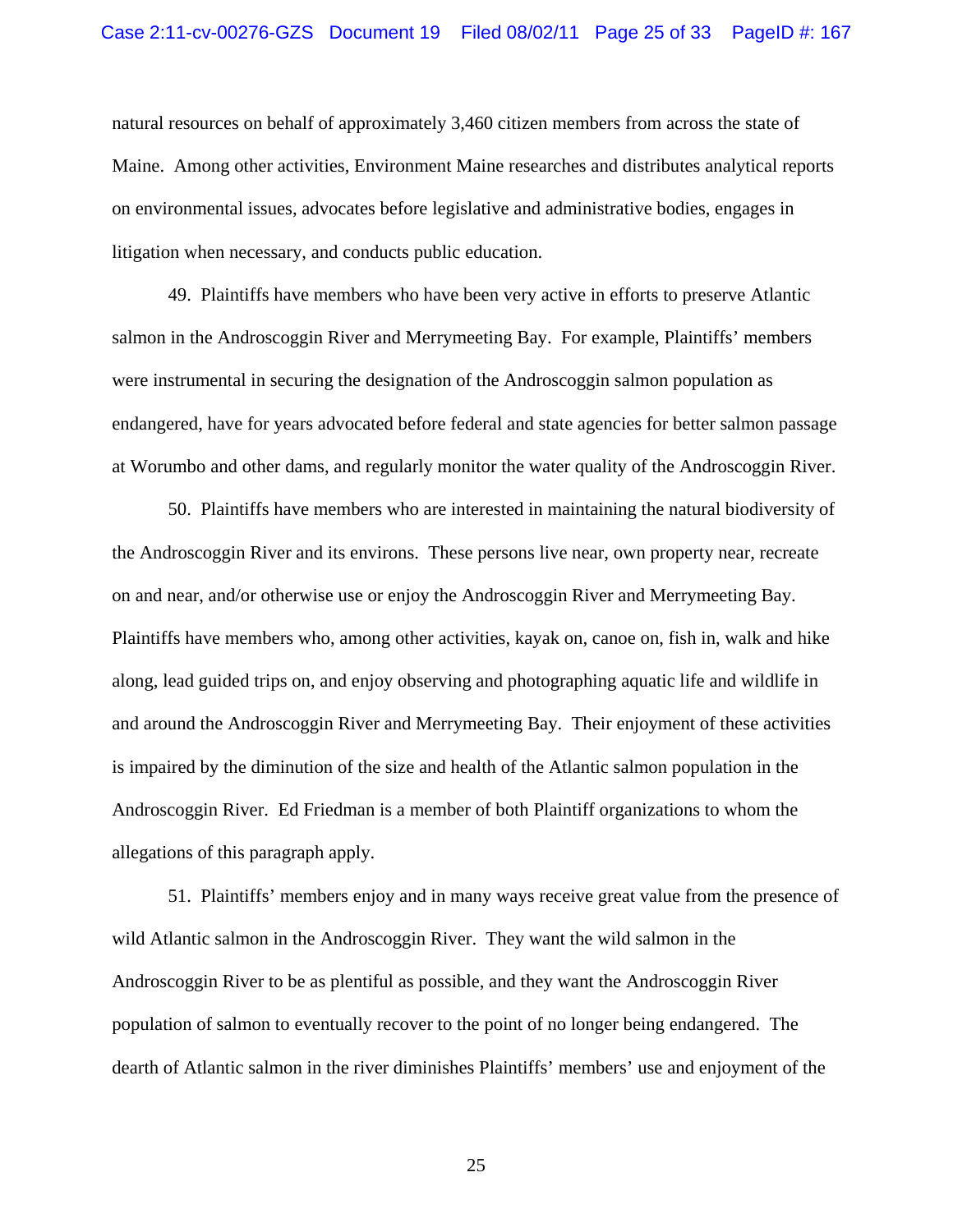natural resources on behalf of approximately 3,460 citizen members from across the state of Maine. Among other activities, Environment Maine researches and distributes analytical reports on environmental issues, advocates before legislative and administrative bodies, engages in litigation when necessary, and conducts public education.

49. Plaintiffs have members who have been very active in efforts to preserve Atlantic salmon in the Androscoggin River and Merrymeeting Bay. For example, Plaintiffs' members were instrumental in securing the designation of the Androscoggin salmon population as endangered, have for years advocated before federal and state agencies for better salmon passage at Worumbo and other dams, and regularly monitor the water quality of the Androscoggin River.

50. Plaintiffs have members who are interested in maintaining the natural biodiversity of the Androscoggin River and its environs. These persons live near, own property near, recreate on and near, and/or otherwise use or enjoy the Androscoggin River and Merrymeeting Bay. Plaintiffs have members who, among other activities, kayak on, canoe on, fish in, walk and hike along, lead guided trips on, and enjoy observing and photographing aquatic life and wildlife in and around the Androscoggin River and Merrymeeting Bay. Their enjoyment of these activities is impaired by the diminution of the size and health of the Atlantic salmon population in the Androscoggin River. Ed Friedman is a member of both Plaintiff organizations to whom the allegations of this paragraph apply.

51. Plaintiffs' members enjoy and in many ways receive great value from the presence of wild Atlantic salmon in the Androscoggin River. They want the wild salmon in the Androscoggin River to be as plentiful as possible, and they want the Androscoggin River population of salmon to eventually recover to the point of no longer being endangered. The dearth of Atlantic salmon in the river diminishes Plaintiffs' members' use and enjoyment of the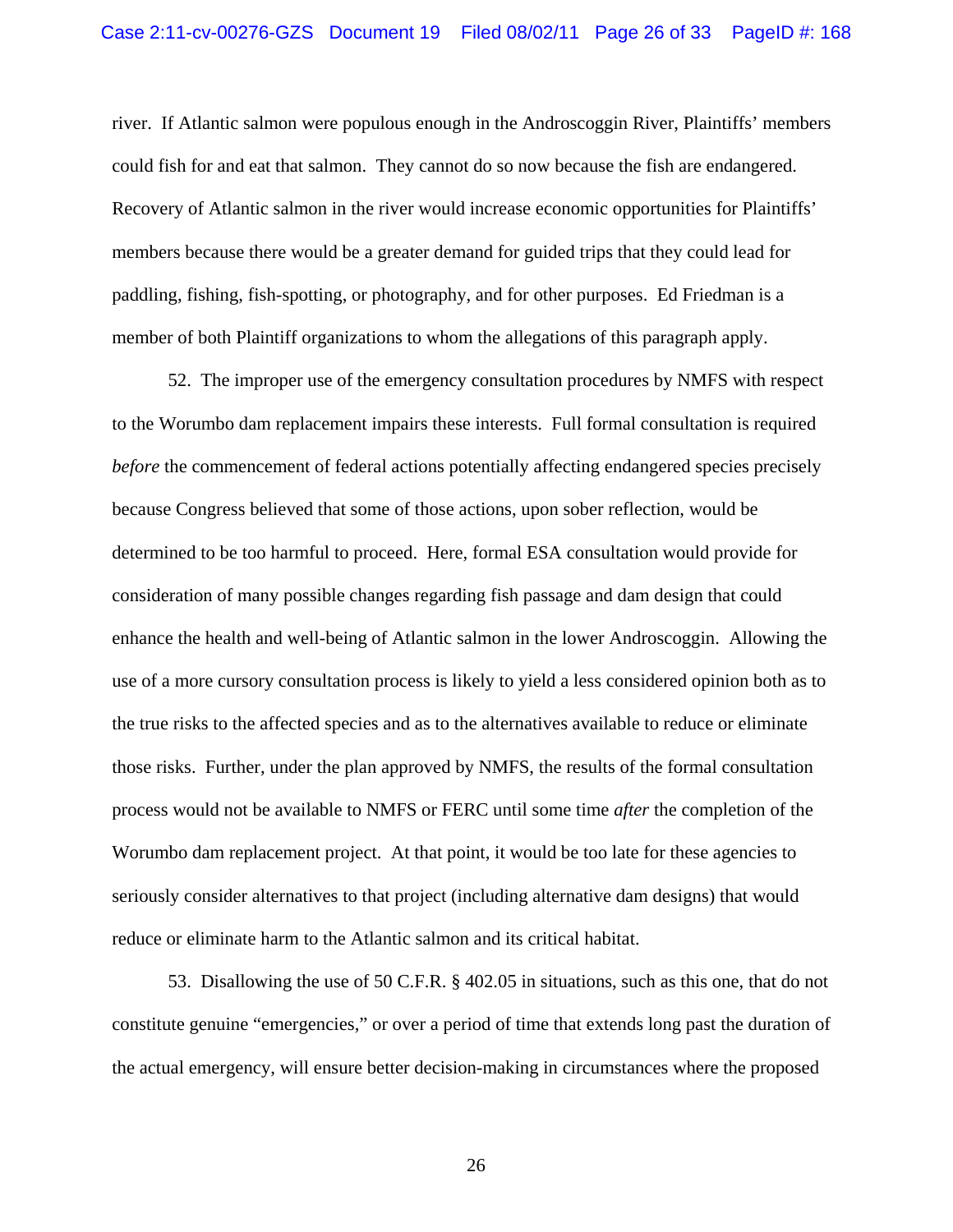river. If Atlantic salmon were populous enough in the Androscoggin River, Plaintiffs' members could fish for and eat that salmon. They cannot do so now because the fish are endangered. Recovery of Atlantic salmon in the river would increase economic opportunities for Plaintiffs' members because there would be a greater demand for guided trips that they could lead for paddling, fishing, fish-spotting, or photography, and for other purposes. Ed Friedman is a member of both Plaintiff organizations to whom the allegations of this paragraph apply.

52. The improper use of the emergency consultation procedures by NMFS with respect to the Worumbo dam replacement impairs these interests. Full formal consultation is required *before* the commencement of federal actions potentially affecting endangered species precisely because Congress believed that some of those actions, upon sober reflection, would be determined to be too harmful to proceed. Here, formal ESA consultation would provide for consideration of many possible changes regarding fish passage and dam design that could enhance the health and well-being of Atlantic salmon in the lower Androscoggin. Allowing the use of a more cursory consultation process is likely to yield a less considered opinion both as to the true risks to the affected species and as to the alternatives available to reduce or eliminate those risks. Further, under the plan approved by NMFS, the results of the formal consultation process would not be available to NMFS or FERC until some time *after* the completion of the Worumbo dam replacement project. At that point, it would be too late for these agencies to seriously consider alternatives to that project (including alternative dam designs) that would reduce or eliminate harm to the Atlantic salmon and its critical habitat.

53. Disallowing the use of 50 C.F.R. § 402.05 in situations, such as this one, that do not constitute genuine "emergencies," or over a period of time that extends long past the duration of the actual emergency, will ensure better decision-making in circumstances where the proposed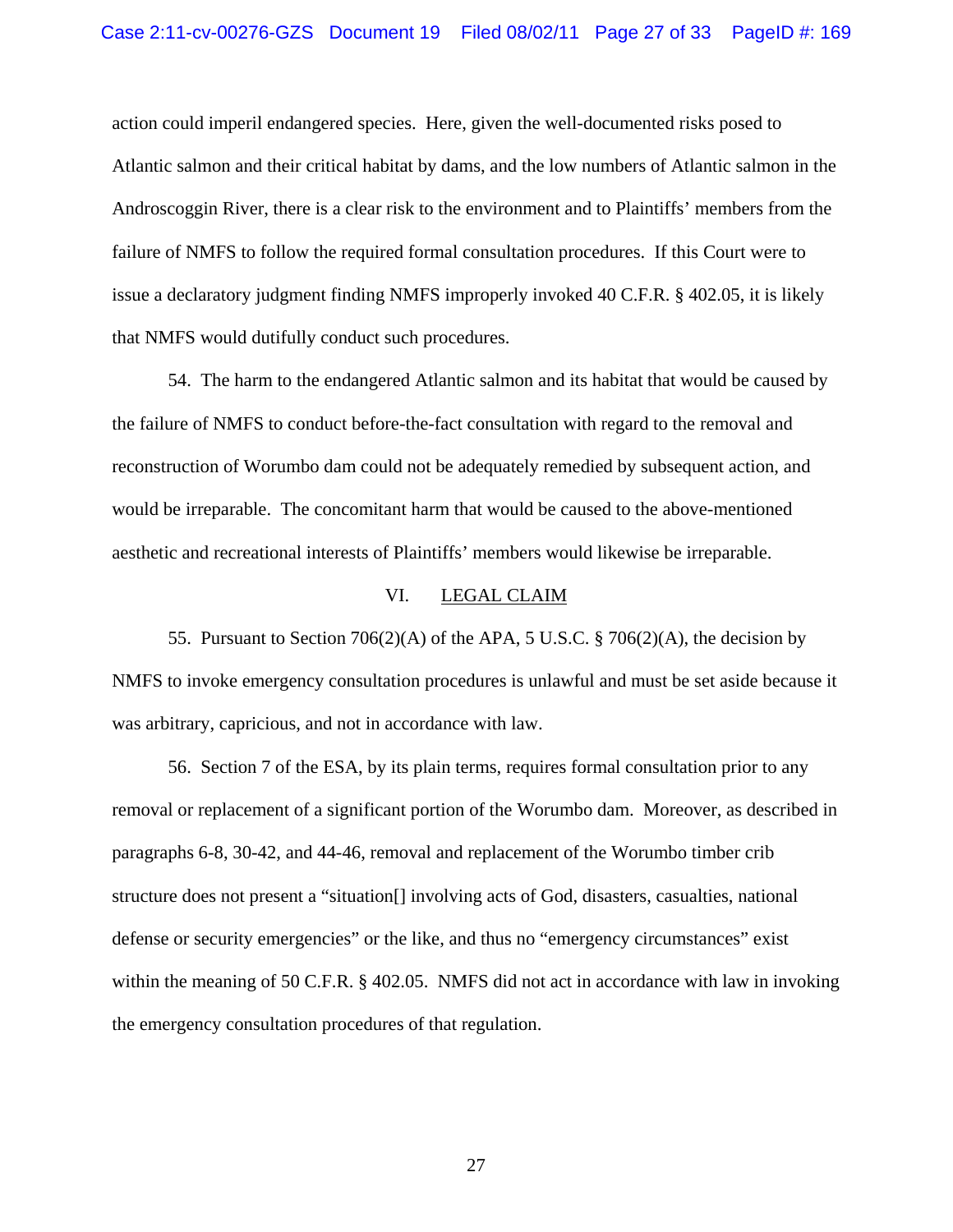action could imperil endangered species. Here, given the well-documented risks posed to Atlantic salmon and their critical habitat by dams, and the low numbers of Atlantic salmon in the Androscoggin River, there is a clear risk to the environment and to Plaintiffs' members from the failure of NMFS to follow the required formal consultation procedures. If this Court were to issue a declaratory judgment finding NMFS improperly invoked 40 C.F.R. § 402.05, it is likely that NMFS would dutifully conduct such procedures.

54. The harm to the endangered Atlantic salmon and its habitat that would be caused by the failure of NMFS to conduct before-the-fact consultation with regard to the removal and reconstruction of Worumbo dam could not be adequately remedied by subsequent action, and would be irreparable. The concomitant harm that would be caused to the above-mentioned aesthetic and recreational interests of Plaintiffs' members would likewise be irreparable.

#### VI. LEGAL CLAIM

55. Pursuant to Section 706(2)(A) of the APA, 5 U.S.C. § 706(2)(A), the decision by NMFS to invoke emergency consultation procedures is unlawful and must be set aside because it was arbitrary, capricious, and not in accordance with law.

56. Section 7 of the ESA, by its plain terms, requires formal consultation prior to any removal or replacement of a significant portion of the Worumbo dam. Moreover, as described in paragraphs 6-8, 30-42, and 44-46, removal and replacement of the Worumbo timber crib structure does not present a "situation[] involving acts of God, disasters, casualties, national defense or security emergencies" or the like, and thus no "emergency circumstances" exist within the meaning of 50 C.F.R. § 402.05. NMFS did not act in accordance with law in invoking the emergency consultation procedures of that regulation.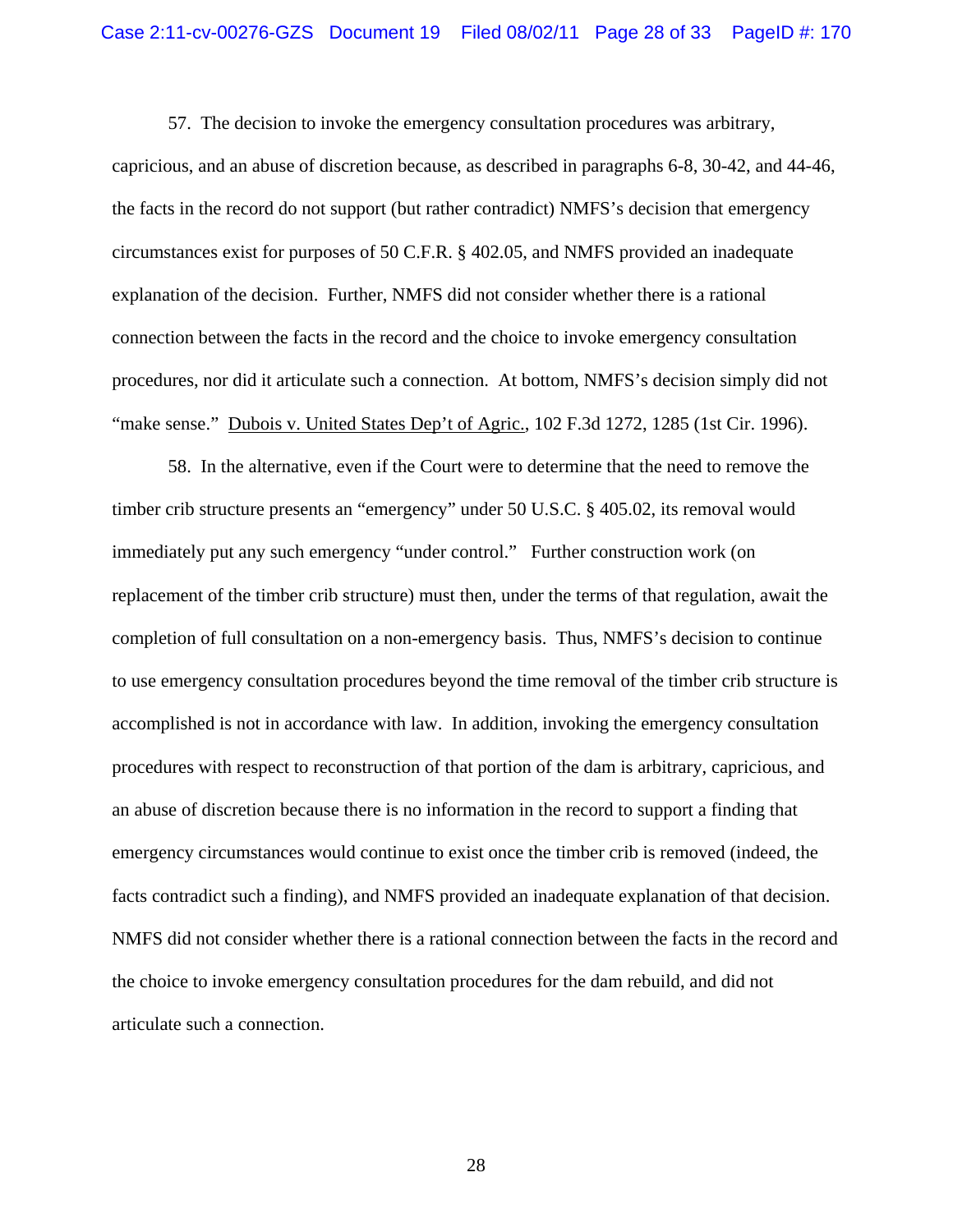57. The decision to invoke the emergency consultation procedures was arbitrary, capricious, and an abuse of discretion because, as described in paragraphs 6-8, 30-42, and 44-46, the facts in the record do not support (but rather contradict) NMFS's decision that emergency circumstances exist for purposes of 50 C.F.R. § 402.05, and NMFS provided an inadequate explanation of the decision. Further, NMFS did not consider whether there is a rational connection between the facts in the record and the choice to invoke emergency consultation procedures, nor did it articulate such a connection. At bottom, NMFS's decision simply did not "make sense." Dubois v. United States Dep't of Agric., 102 F.3d 1272, 1285 (1st Cir. 1996).

58. In the alternative, even if the Court were to determine that the need to remove the timber crib structure presents an "emergency" under 50 U.S.C. § 405.02, its removal would immediately put any such emergency "under control." Further construction work (on replacement of the timber crib structure) must then, under the terms of that regulation, await the completion of full consultation on a non-emergency basis. Thus, NMFS's decision to continue to use emergency consultation procedures beyond the time removal of the timber crib structure is accomplished is not in accordance with law. In addition, invoking the emergency consultation procedures with respect to reconstruction of that portion of the dam is arbitrary, capricious, and an abuse of discretion because there is no information in the record to support a finding that emergency circumstances would continue to exist once the timber crib is removed (indeed, the facts contradict such a finding), and NMFS provided an inadequate explanation of that decision. NMFS did not consider whether there is a rational connection between the facts in the record and the choice to invoke emergency consultation procedures for the dam rebuild, and did not articulate such a connection.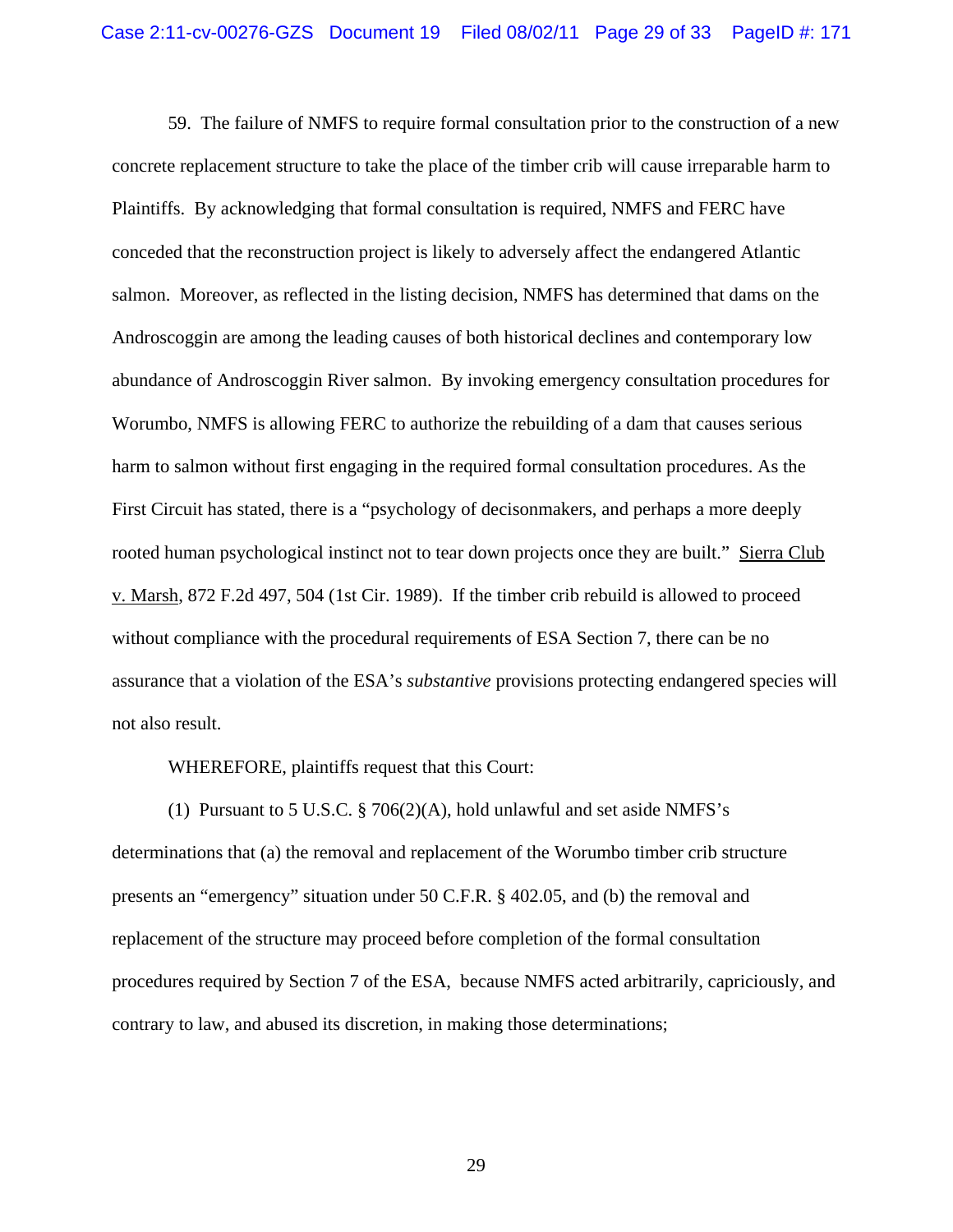59. The failure of NMFS to require formal consultation prior to the construction of a new concrete replacement structure to take the place of the timber crib will cause irreparable harm to Plaintiffs. By acknowledging that formal consultation is required, NMFS and FERC have conceded that the reconstruction project is likely to adversely affect the endangered Atlantic salmon. Moreover, as reflected in the listing decision, NMFS has determined that dams on the Androscoggin are among the leading causes of both historical declines and contemporary low abundance of Androscoggin River salmon. By invoking emergency consultation procedures for Worumbo, NMFS is allowing FERC to authorize the rebuilding of a dam that causes serious harm to salmon without first engaging in the required formal consultation procedures. As the First Circuit has stated, there is a "psychology of decisonmakers, and perhaps a more deeply rooted human psychological instinct not to tear down projects once they are built." Sierra Club v. Marsh, 872 F.2d 497, 504 (1st Cir. 1989). If the timber crib rebuild is allowed to proceed without compliance with the procedural requirements of ESA Section 7, there can be no assurance that a violation of the ESA's *substantive* provisions protecting endangered species will not also result.

WHEREFORE, plaintiffs request that this Court:

(1) Pursuant to 5 U.S.C. § 706(2)(A), hold unlawful and set aside NMFS's determinations that (a) the removal and replacement of the Worumbo timber crib structure presents an "emergency" situation under 50 C.F.R. § 402.05, and (b) the removal and replacement of the structure may proceed before completion of the formal consultation procedures required by Section 7 of the ESA, because NMFS acted arbitrarily, capriciously, and contrary to law, and abused its discretion, in making those determinations;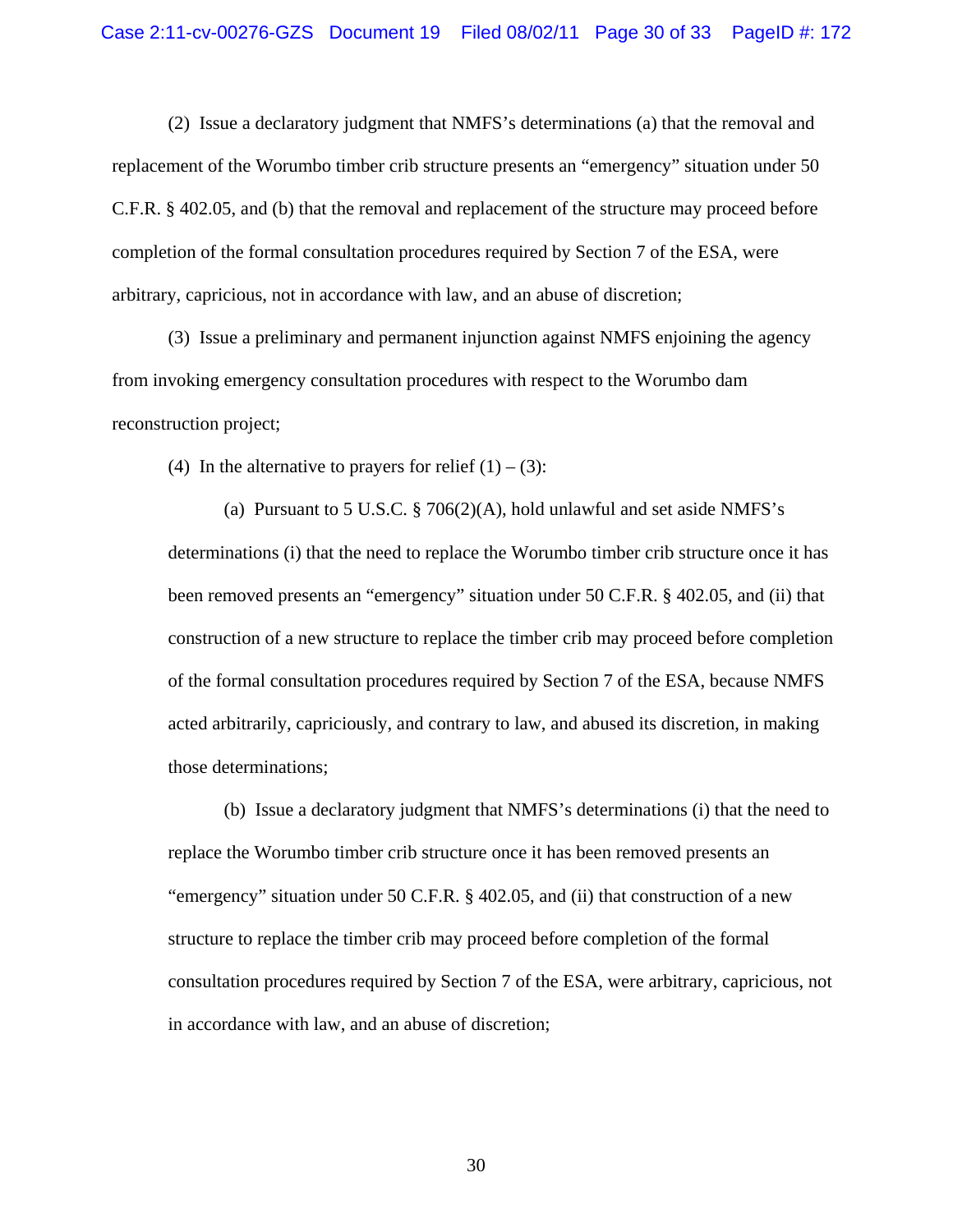(2) Issue a declaratory judgment that NMFS's determinations (a) that the removal and replacement of the Worumbo timber crib structure presents an "emergency" situation under 50 C.F.R. § 402.05, and (b) that the removal and replacement of the structure may proceed before completion of the formal consultation procedures required by Section 7 of the ESA, were arbitrary, capricious, not in accordance with law, and an abuse of discretion;

(3) Issue a preliminary and permanent injunction against NMFS enjoining the agency from invoking emergency consultation procedures with respect to the Worumbo dam reconstruction project;

(4) In the alternative to prayers for relief  $(1) - (3)$ :

(a) Pursuant to 5 U.S.C. § 706(2)(A), hold unlawful and set aside NMFS's determinations (i) that the need to replace the Worumbo timber crib structure once it has been removed presents an "emergency" situation under 50 C.F.R. § 402.05, and (ii) that construction of a new structure to replace the timber crib may proceed before completion of the formal consultation procedures required by Section 7 of the ESA, because NMFS acted arbitrarily, capriciously, and contrary to law, and abused its discretion, in making those determinations;

(b) Issue a declaratory judgment that NMFS's determinations (i) that the need to replace the Worumbo timber crib structure once it has been removed presents an "emergency" situation under 50 C.F.R. § 402.05, and (ii) that construction of a new structure to replace the timber crib may proceed before completion of the formal consultation procedures required by Section 7 of the ESA, were arbitrary, capricious, not in accordance with law, and an abuse of discretion;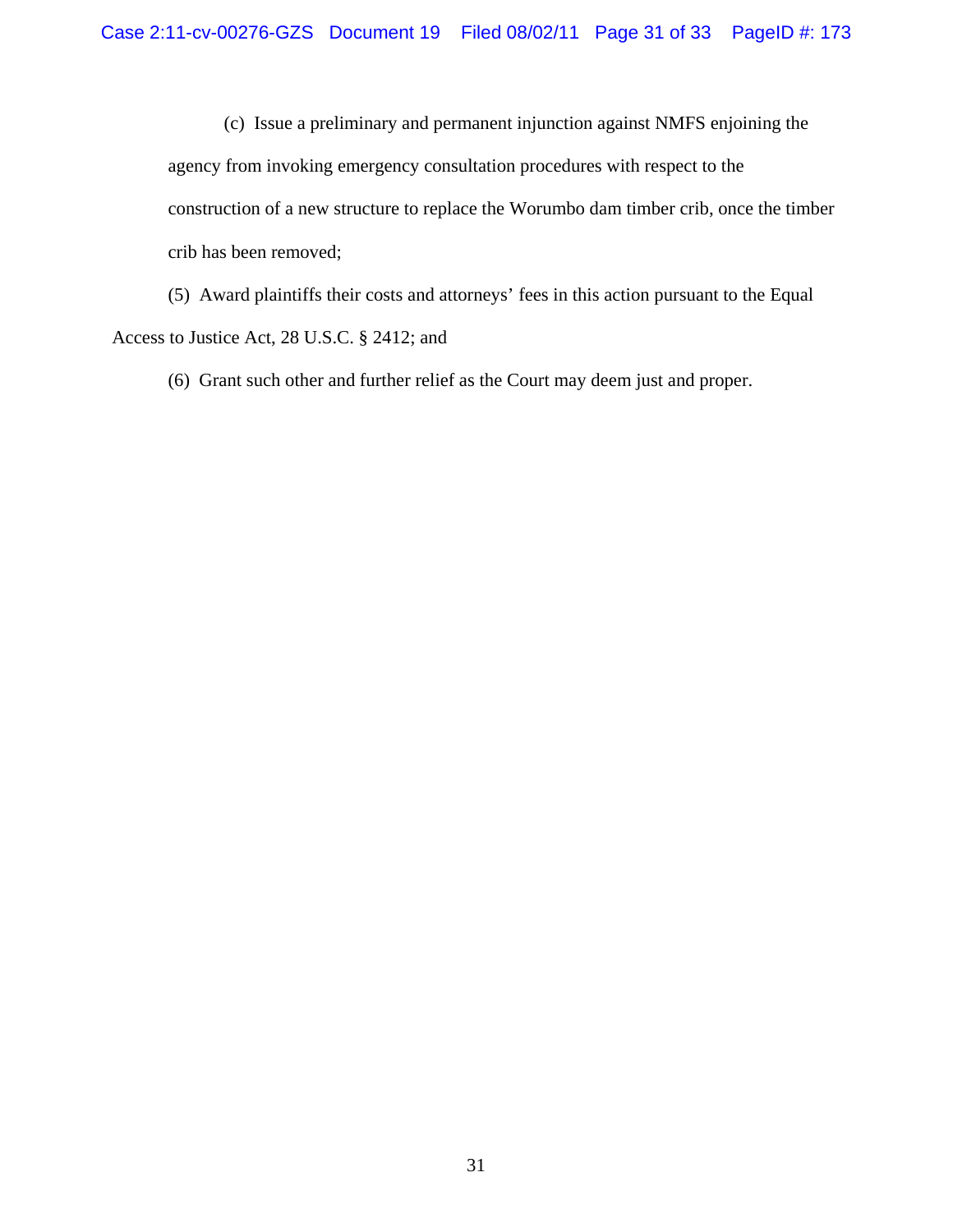(c) Issue a preliminary and permanent injunction against NMFS enjoining the agency from invoking emergency consultation procedures with respect to the construction of a new structure to replace the Worumbo dam timber crib, once the timber crib has been removed;

(5) Award plaintiffs their costs and attorneys' fees in this action pursuant to the Equal Access to Justice Act, 28 U.S.C. § 2412; and

(6) Grant such other and further relief as the Court may deem just and proper.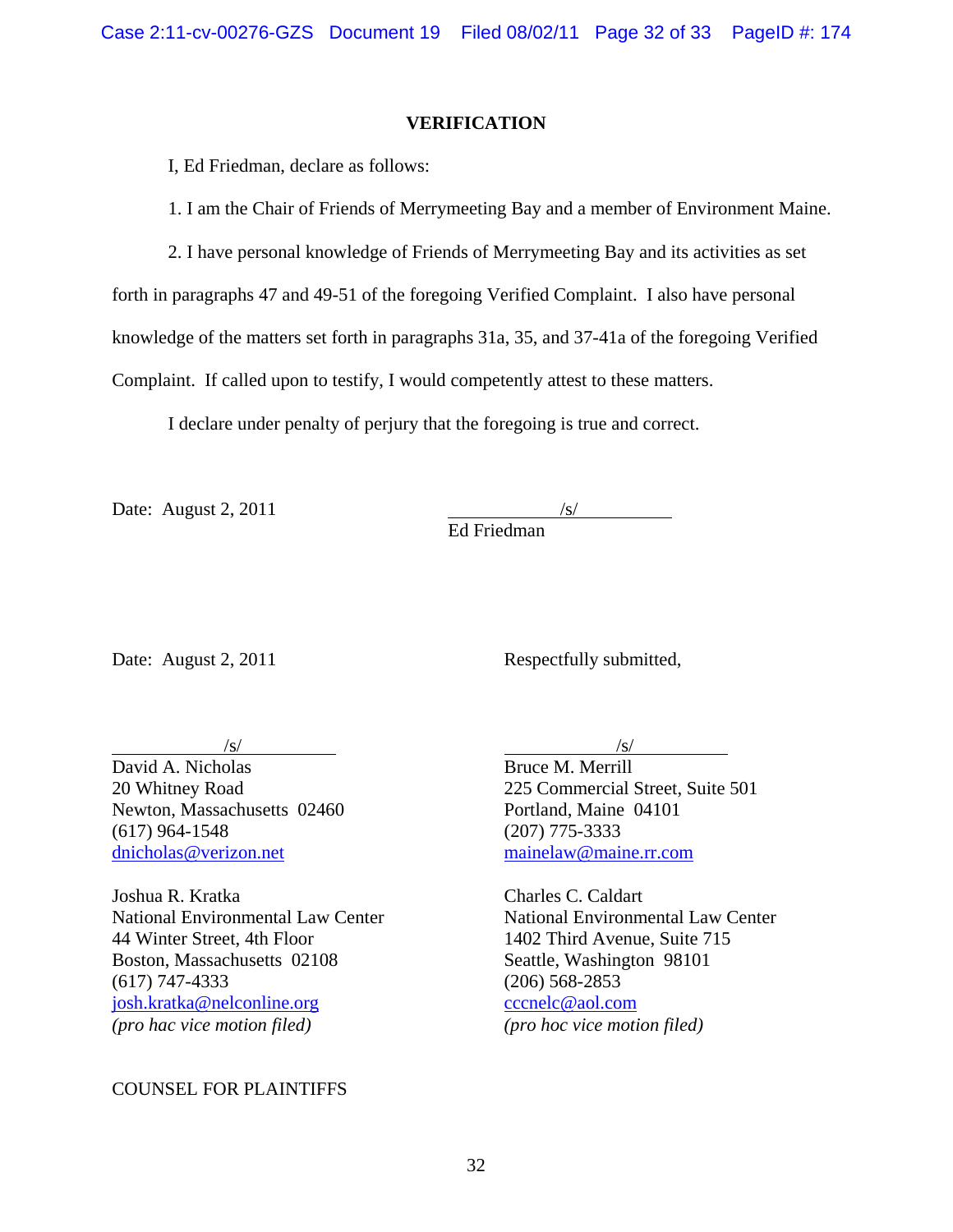### **VERIFICATION**

I, Ed Friedman, declare as follows:

1. I am the Chair of Friends of Merrymeeting Bay and a member of Environment Maine.

2. I have personal knowledge of Friends of Merrymeeting Bay and its activities as set

forth in paragraphs 47 and 49-51 of the foregoing Verified Complaint. I also have personal

knowledge of the matters set forth in paragraphs 31a, 35, and 37-41a of the foregoing Verified

Complaint. If called upon to testify, I would competently attest to these matters.

I declare under penalty of perjury that the foregoing is true and correct.

Date: August  $2, 2011$ 

Ed Friedman

Date: August 2, 2011 Respectfully submitted,

David A. Nicholas Bruce M. Merrill Newton, Massachusetts 02460 Portland, Maine 04101 (617) 964-1548 (207) 775-3333 [dnicholas@verizon.net](mailto:dnicholas@verizon.net) [mainelaw@maine.rr.com](mailto:mainelaw@maine.rr.com)

Joshua R. Kratka Charles C. Caldart 44 Winter Street, 4th Floor 1402 Third Avenue, Suite 715 Boston, Massachusetts 02108 Seattle, Washington 98101 (617) 747-4333 (206) 568-2853 [josh.kratka@nelconline.org](mailto:josh.kratka@nelconline.org) [cccnelc@aol.com](mailto:cccnelc@aol.com) *(pro hac vice motion filed) (pro hoc vice motion filed)*

COUNSEL FOR PLAINTIFFS

 $\sqrt{s}$ / $\sqrt{s}$ / $\sqrt{s}$ / $\sqrt{s}$ / $\sqrt{s}$ / $\sqrt{s}$ / $\sqrt{s}$ / $\sqrt{s}$ / $\sqrt{s}$ / $\sqrt{s}$ / $\sqrt{s}$ / $\sqrt{s}$ / $\sqrt{s}$ / $\sqrt{s}$ / $\sqrt{s}$ / $\sqrt{s}$ / $\sqrt{s}$ / $\sqrt{s}$ / $\sqrt{s}$ / $\sqrt{s}$ / $\sqrt{s}$ / $\sqrt{s}$ / $\sqrt{s}$ / $\sqrt{s}$ / $\sqrt{s}$ / $\sqrt{s}$ / $\sqrt{s}$ / $\sqrt{s}$ / $\sqrt{s}$ / $\sqrt{s}$ / $\sqrt{s}$ / $\sqrt{s$ 

20 Whitney Road 225 Commercial Street, Suite 501

National Environmental Law Center National Environmental Law Center